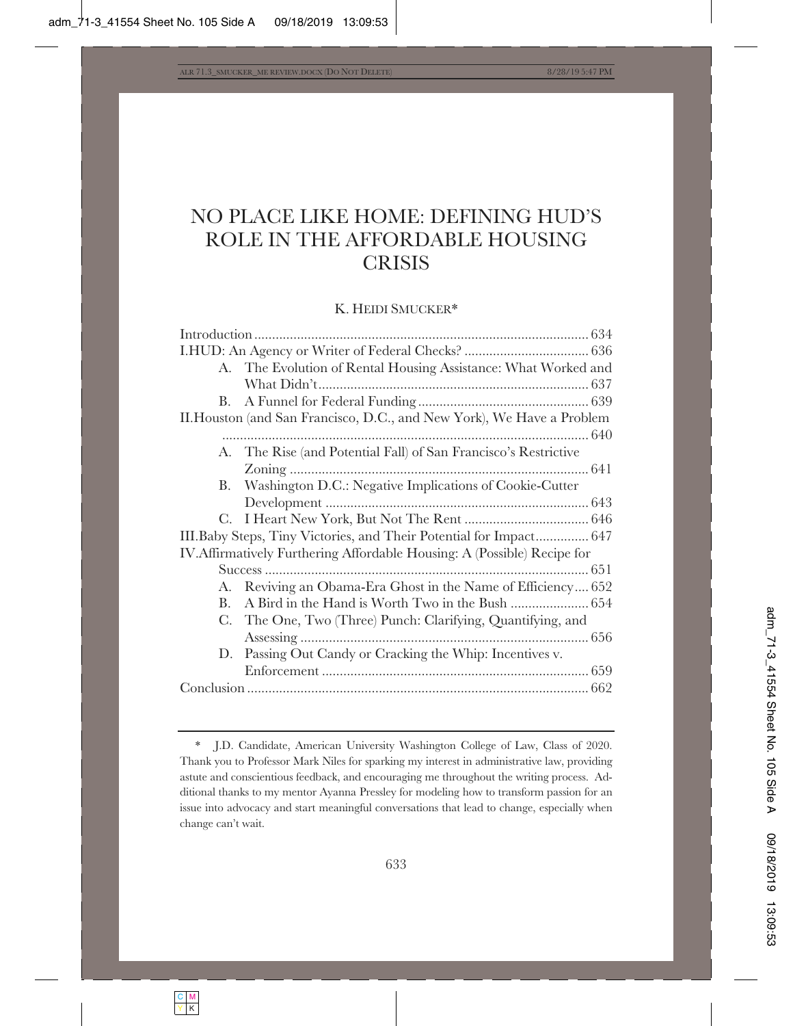# NO PLACE LIKE HOME: DEFINING HUD'S ROLE IN THE AFFORDABLE HOUSING **CRISIS**

## K. HEIDI SMUCKER\*

|                                                                          | A. The Evolution of Rental Housing Assistance: What Worked and      |
|--------------------------------------------------------------------------|---------------------------------------------------------------------|
|                                                                          |                                                                     |
| В.                                                                       |                                                                     |
| II. Houston (and San Francisco, D.C., and New York), We Have a Problem   |                                                                     |
|                                                                          |                                                                     |
| А.                                                                       | The Rise (and Potential Fall) of San Francisco's Restrictive        |
|                                                                          |                                                                     |
| В.                                                                       | Washington D.C.: Negative Implications of Cookie-Cutter             |
|                                                                          |                                                                     |
|                                                                          |                                                                     |
|                                                                          | III. Baby Steps, Tiny Victories, and Their Potential for Impact 647 |
| IV. Affirmatively Furthering Affordable Housing: A (Possible) Recipe for |                                                                     |
|                                                                          |                                                                     |
|                                                                          | A. Reviving an Obama-Era Ghost in the Name of Efficiency 652        |
| В.                                                                       |                                                                     |
| C.                                                                       | The One, Two (Three) Punch: Clarifying, Quantifying, and            |
|                                                                          |                                                                     |
|                                                                          | D. Passing Out Candy or Cracking the Whip: Incentives v.            |
|                                                                          |                                                                     |
|                                                                          |                                                                     |
|                                                                          |                                                                     |

<sup>\*</sup> J.D. Candidate, American University Washington College of Law, Class of 2020. Thank you to Professor Mark Niles for sparking my interest in administrative law, providing astute and conscientious feedback, and encouraging me throughout the writing process. Additional thanks to my mentor Ayanna Pressley for modeling how to transform passion for an issue into advocacy and start meaningful conversations that lead to change, especially when change can't wait.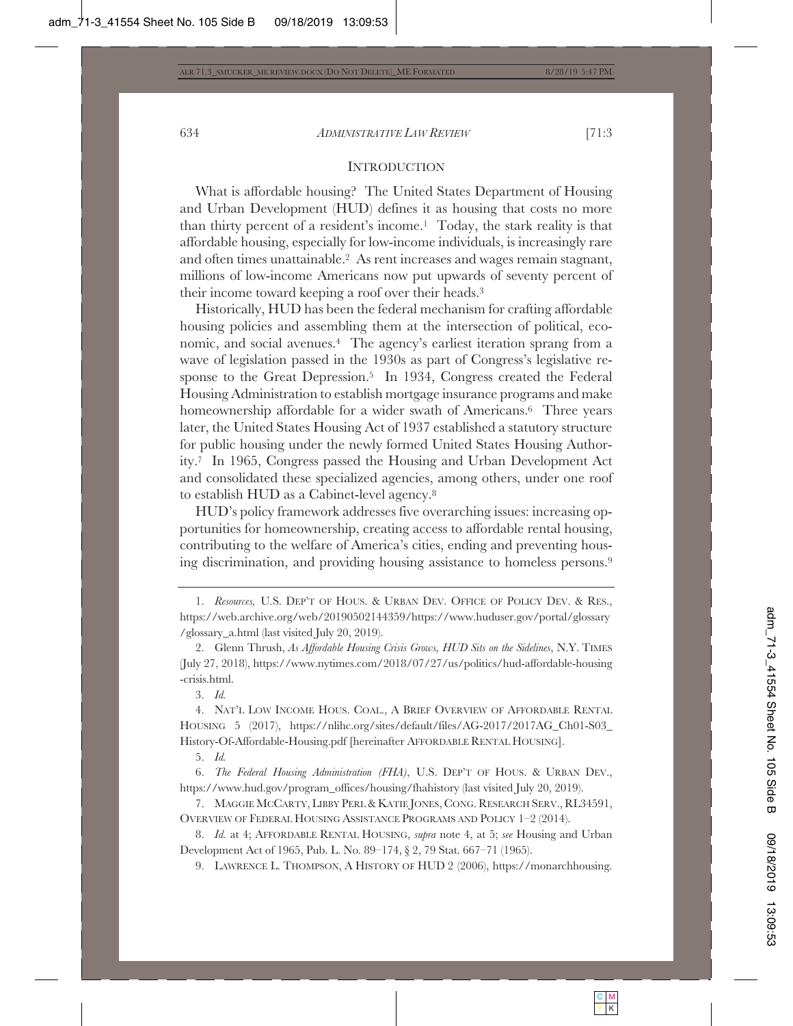# **INTRODUCTION**

What is affordable housing? The United States Department of Housing and Urban Development (HUD) defines it as housing that costs no more than thirty percent of a resident's income.<sup>1</sup> Today, the stark reality is that affordable housing, especially for low-income individuals, is increasingly rare and often times unattainable.2 As rent increases and wages remain stagnant, millions of low-income Americans now put upwards of seventy percent of their income toward keeping a roof over their heads.3

Historically, HUD has been the federal mechanism for crafting affordable housing policies and assembling them at the intersection of political, economic, and social avenues.4 The agency's earliest iteration sprang from a wave of legislation passed in the 1930s as part of Congress's legislative response to the Great Depression.<sup>5</sup> In 1934, Congress created the Federal Housing Administration to establish mortgage insurance programs and make homeownership affordable for a wider swath of Americans.<sup>6</sup> Three years later, the United States Housing Act of 1937 established a statutory structure for public housing under the newly formed United States Housing Authority.7 In 1965, Congress passed the Housing and Urban Development Act and consolidated these specialized agencies, among others, under one roof to establish HUD as a Cabinet-level agency.8

HUD's policy framework addresses five overarching issues: increasing opportunities for homeownership, creating access to affordable rental housing, contributing to the welfare of America's cities, ending and preventing housing discrimination, and providing housing assistance to homeless persons.9

2. Glenn Thrush, *As Affordable Housing Crisis Grows, HUD Sits on the Sidelines*, N.Y. TIMES (July 27, 2018), https://www.nytimes.com/2018/07/27/us/politics/hud-affordable-housing -crisis.html.

3. *Id.*

4. NAT'L LOW INCOME HOUS. COAL., A BRIEF OVERVIEW OF AFFORDABLE RENTAL HOUSING 5 (2017), https://nlihc.org/sites/default/files/AG-2017/2017AG\_Ch01-S03\_ History-Of-Affordable-Housing.pdf [hereinafter AFFORDABLE RENTAL HOUSING].

5. *Id.*

6. *The Federal Housing Administration (FHA)*, U.S. DEP'T OF HOUS.&URBAN DEV., https://www.hud.gov/program\_offices/housing/fhahistory (last visited July 20, 2019).

7. MAGGIE MCCARTY, LIBBY PERL& KATIE JONES, CONG. RESEARCH SERV., RL34591, OVERVIEW OF FEDERAL HOUSING ASSISTANCE PROGRAMS AND POLICY 1–2 (2014).

8. *Id.* at 4; AFFORDABLE RENTAL HOUSING, *supra* note 4, at 5; *see* Housing and Urban Development Act of 1965, Pub. L. No. 89–174, § 2, 79 Stat. 667–71 (1965).

9. LAWRENCE L. THOMPSON,AHISTORY OF HUD 2 (2006), https://monarchhousing.

<sup>1.</sup> *Resources, U.S. DEP'T OF HOUS. & URBAN DEV. OFFICE OF POLICY DEV. & RES.*, https://web.archive.org/web/20190502144359/https://www.huduser.gov/portal/glossary /glossary\_a.html (last visited July 20, 2019).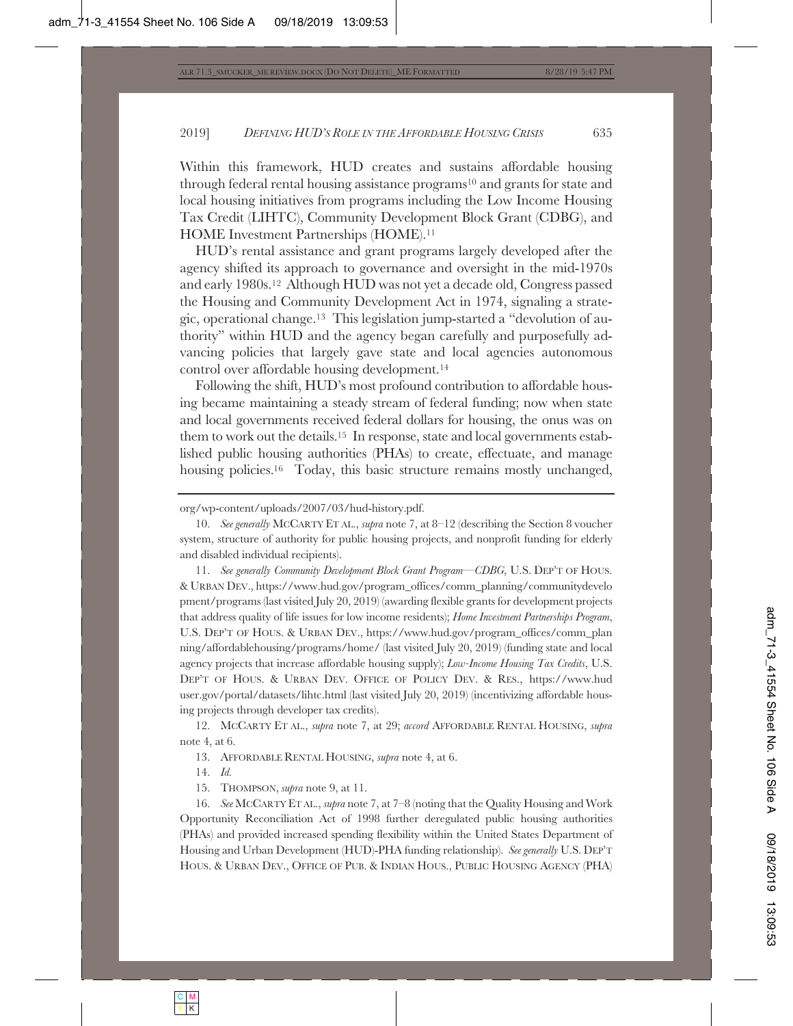Within this framework, HUD creates and sustains affordable housing through federal rental housing assistance programs10 and grants for state and local housing initiatives from programs including the Low Income Housing Tax Credit (LIHTC), Community Development Block Grant (CDBG), and HOME Investment Partnerships (HOME).11

 HUD's rental assistance and grant programs largely developed after the agency shifted its approach to governance and oversight in the mid-1970s and early 1980s.12 Although HUD was not yet a decade old, Congress passed the Housing and Community Development Act in 1974, signaling a strategic, operational change.13 This legislation jump-started a "devolution of authority" within HUD and the agency began carefully and purposefully advancing policies that largely gave state and local agencies autonomous control over affordable housing development.14

Following the shift, HUD's most profound contribution to affordable housing became maintaining a steady stream of federal funding; now when state and local governments received federal dollars for housing, the onus was on them to work out the details.15 In response, state and local governments established public housing authorities (PHAs) to create, effectuate, and manage housing policies.<sup>16</sup> Today, this basic structure remains mostly unchanged,

11. *See generally Community Development Block Grant Program—CDBG*, U.S. DEP'T OF HOUS. & URBAN DEV., https://www.hud.gov/program\_offices/comm\_planning/communitydevelo pment/programs (last visited July 20, 2019) (awarding flexible grants for development projects that address quality of life issues for low income residents); *Home Investment Partnerships Program*, U.S. DEP'T OF HOUS.&URBAN DEV., https://www.hud.gov/program\_offices/comm\_plan ning/affordablehousing/programs/home/ (last visited July 20, 2019) (funding state and local agency projects that increase affordable housing supply); *Low-Income Housing Tax Credits*, U.S. DEP'T OF HOUS. & URBAN DEV. OFFICE OF POLICY DEV. & RES., https://www.hud user.gov/portal/datasets/lihtc.html (last visited July 20, 2019) (incentivizing affordable housing projects through developer tax credits).

12. MCCARTY ET AL., *supra* note 7, at 29; *accord* AFFORDABLE RENTAL HOUSING, *supra* note 4, at 6.

13. AFFORDABLE RENTAL HOUSING, *supra* note 4, at 6.

14. *Id.*

15. THOMPSON, *supra* note 9, at 11.

16. *See* MCCARTY ET AL., *supra* note 7, at 7–8 (noting that the Quality Housing and Work Opportunity Reconciliation Act of 1998 further deregulated public housing authorities (PHAs) and provided increased spending flexibility within the United States Department of Housing and Urban Development (HUD)-PHA funding relationship). *See generally* U.S. DEP'T HOUS.&URBAN DEV., OFFICE OF PUB.&INDIAN HOUS., PUBLIC HOUSING AGENCY (PHA)

org/wp-content/uploads/2007/03/hud-history.pdf.

<sup>10.</sup> *See generally* MCCARTY ET AL., *supra* note 7, at 8–12 (describing the Section 8 voucher system, structure of authority for public housing projects, and nonprofit funding for elderly and disabled individual recipients).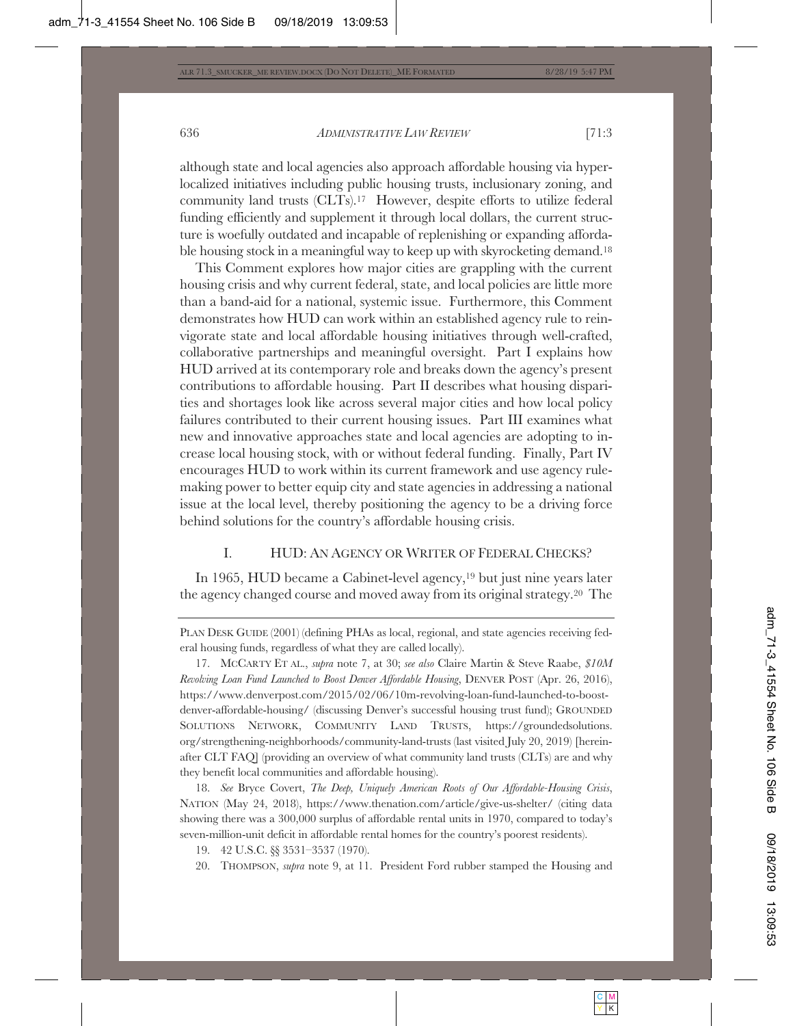although state and local agencies also approach affordable housing via hyperlocalized initiatives including public housing trusts, inclusionary zoning, and community land trusts (CLTs).17 However, despite efforts to utilize federal funding efficiently and supplement it through local dollars, the current structure is woefully outdated and incapable of replenishing or expanding affordable housing stock in a meaningful way to keep up with skyrocketing demand.<sup>18</sup>

This Comment explores how major cities are grappling with the current housing crisis and why current federal, state, and local policies are little more than a band-aid for a national, systemic issue. Furthermore, this Comment demonstrates how HUD can work within an established agency rule to reinvigorate state and local affordable housing initiatives through well-crafted, collaborative partnerships and meaningful oversight. Part I explains how HUD arrived at its contemporary role and breaks down the agency's present contributions to affordable housing. Part II describes what housing disparities and shortages look like across several major cities and how local policy failures contributed to their current housing issues. Part III examines what new and innovative approaches state and local agencies are adopting to increase local housing stock, with or without federal funding. Finally, Part IV encourages HUD to work within its current framework and use agency rulemaking power to better equip city and state agencies in addressing a national issue at the local level, thereby positioning the agency to be a driving force behind solutions for the country's affordable housing crisis.

# I. HUD: AN AGENCY OR WRITER OF FEDERAL CHECKS?

In 1965, HUD became a Cabinet-level agency,19 but just nine years later the agency changed course and moved away from its original strategy.20 The

18. *See* Bryce Covert, *The Deep, Uniquely American Roots of Our Affordable-Housing Crisis*, NATION (May 24, 2018), https://www.thenation.com/article/give-us-shelter/ (citing data showing there was a 300,000 surplus of affordable rental units in 1970, compared to today's seven-million-unit deficit in affordable rental homes for the country's poorest residents).

19. 42 U.S.C. §§ 3531–3537 (1970).

20. THOMPSON, *supra* note 9, at 11. President Ford rubber stamped the Housing and

PLAN DESK GUIDE (2001) (defining PHAs as local, regional, and state agencies receiving federal housing funds, regardless of what they are called locally).

<sup>17.</sup> MCCARTY ET AL., *supra* note 7, at 30; *see also* Claire Martin & Steve Raabe, *\$10M Revolving Loan Fund Launched to Boost Denver Affordable Housing*, DENVER POST (Apr. 26, 2016), https://www.denverpost.com/2015/02/06/10m-revolving-loan-fund-launched-to-boostdenver-affordable-housing/ (discussing Denver's successful housing trust fund); GROUNDED SOLUTIONS NETWORK, COMMUNITY LAND TRUSTS, https://groundedsolutions. org/strengthening-neighborhoods/community-land-trusts (last visited July 20, 2019) [hereinafter CLT FAQ] (providing an overview of what community land trusts (CLTs) are and why they benefit local communities and affordable housing).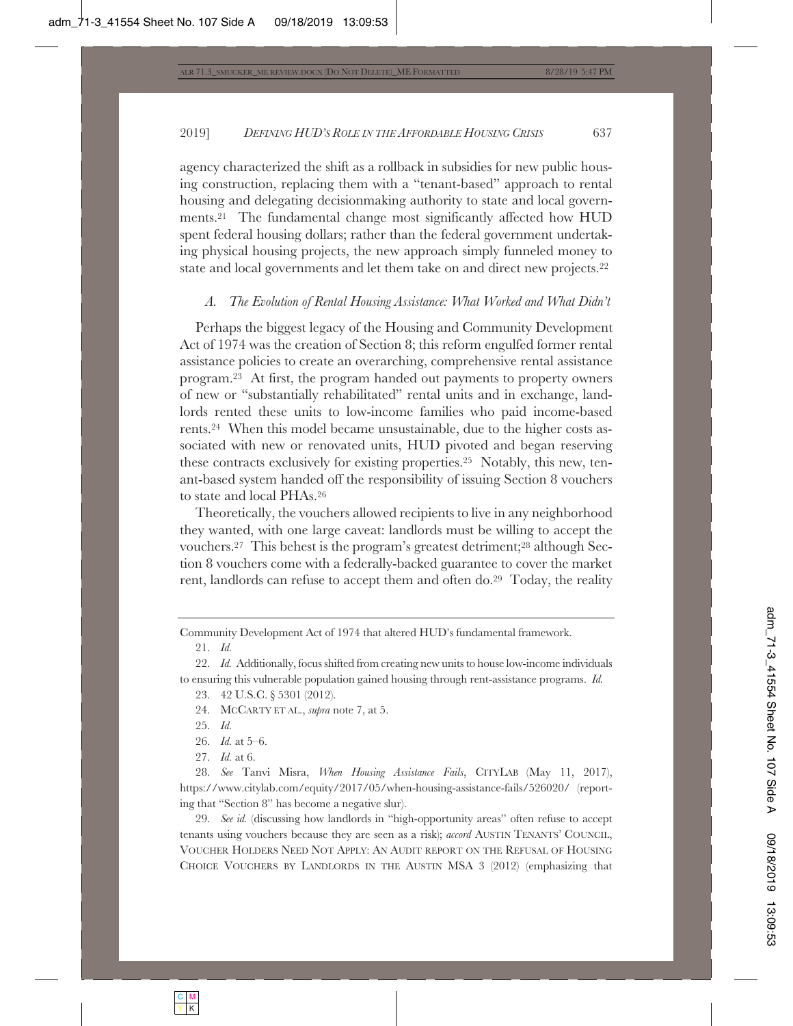agency characterized the shift as a rollback in subsidies for new public housing construction, replacing them with a "tenant-based" approach to rental housing and delegating decisionmaking authority to state and local governments.21 The fundamental change most significantly affected how HUD spent federal housing dollars; rather than the federal government undertaking physical housing projects, the new approach simply funneled money to state and local governments and let them take on and direct new projects.22

#### *A. The Evolution of Rental Housing Assistance: What Worked and What Didn't*

Perhaps the biggest legacy of the Housing and Community Development Act of 1974 was the creation of Section 8; this reform engulfed former rental assistance policies to create an overarching, comprehensive rental assistance program.23 At first, the program handed out payments to property owners of new or "substantially rehabilitated" rental units and in exchange, landlords rented these units to low-income families who paid income-based rents.24 When this model became unsustainable, due to the higher costs associated with new or renovated units, HUD pivoted and began reserving these contracts exclusively for existing properties.25 Notably, this new, tenant-based system handed off the responsibility of issuing Section 8 vouchers to state and local PHAs.26

Theoretically, the vouchers allowed recipients to live in any neighborhood they wanted, with one large caveat: landlords must be willing to accept the vouchers.27 This behest is the program's greatest detriment;28 although Section 8 vouchers come with a federally-backed guarantee to cover the market rent, landlords can refuse to accept them and often do.29 Today, the reality

Community Development Act of 1974 that altered HUD's fundamental framework.

21. *Id.*

22. *Id.* Additionally, focus shifted from creating new units to house low-income individuals to ensuring this vulnerable population gained housing through rent-assistance programs. *Id.*

23. 42 U.S.C. § 5301 (2012).

24. MCCARTY ET AL., *supra* note 7, at 5.

25. *Id.*

26. *Id.* at 5–6.

27. *Id.* at 6.

28. *See* Tanvi Misra, *When Housing Assistance Fails*, CITYLAB (May 11, 2017), https://www.citylab.com/equity/2017/05/when-housing-assistance-fails/526020/ (reporting that "Section 8" has become a negative slur).

29. *See id.* (discussing how landlords in "high-opportunity areas" often refuse to accept tenants using vouchers because they are seen as a risk); *accord* AUSTIN TENANTS' COUNCIL, VOUCHER HOLDERS NEED NOT APPLY: AN AUDIT REPORT ON THE REFUSAL OF HOUSING CHOICE VOUCHERS BY LANDLORDS IN THE AUSTIN MSA 3 (2012) (emphasizing that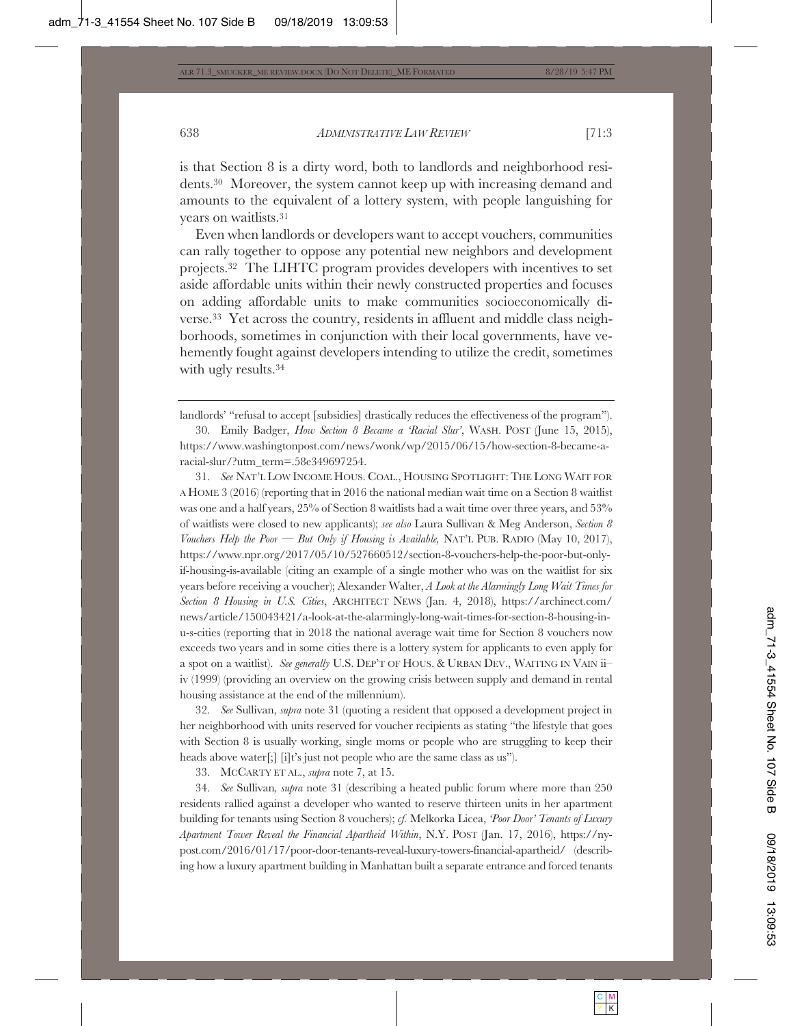is that Section 8 is a dirty word, both to landlords and neighborhood residents.30 Moreover, the system cannot keep up with increasing demand and amounts to the equivalent of a lottery system, with people languishing for years on waitlists.31

Even when landlords or developers want to accept vouchers, communities can rally together to oppose any potential new neighbors and development projects.32 The LIHTC program provides developers with incentives to set aside affordable units within their newly constructed properties and focuses on adding affordable units to make communities socioeconomically diverse.33 Yet across the country, residents in affluent and middle class neighborhoods, sometimes in conjunction with their local governments, have vehemently fought against developers intending to utilize the credit, sometimes with ugly results.<sup>34</sup>

31. *See* NAT'L LOW INCOME HOUS. COAL., HOUSING SPOTLIGHT: THE LONG WAIT FOR A HOME 3 (2016) (reporting that in 2016 the national median wait time on a Section 8 waitlist was one and a half years, 25% of Section 8 waitlists had a wait time over three years, and 53% of waitlists were closed to new applicants); *see also* Laura Sullivan & Meg Anderson, *Section 8 Vouchers Help the Poor — But Only if Housing is Available,* NAT'L PUB. RADIO (May 10, 2017), https://www.npr.org/2017/05/10/527660512/section-8-vouchers-help-the-poor-but-onlyif-housing-is-available (citing an example of a single mother who was on the waitlist for six years before receiving a voucher); Alexander Walter, *A Look at the Alarmingly Long Wait Times for Section 8 Housing in U.S. Cities*, ARCHITECT NEWS (Jan. 4, 2018), https://archinect.com/ news/article/150043421/a-look-at-the-alarmingly-long-wait-times-for-section-8-housing-inu-s-cities (reporting that in 2018 the national average wait time for Section 8 vouchers now exceeds two years and in some cities there is a lottery system for applicants to even apply for a spot on a waitlist). *See generally* U.S. DEP'T OF HOUS.&URBAN DEV., WAITING IN VAIN ii– iv (1999) (providing an overview on the growing crisis between supply and demand in rental housing assistance at the end of the millennium).

32. *See* Sullivan, *supra* note 31 (quoting a resident that opposed a development project in her neighborhood with units reserved for voucher recipients as stating "the lifestyle that goes with Section 8 is usually working, single moms or people who are struggling to keep their heads above water[;] [i]t's just not people who are the same class as us").

33. MCCARTY ET AL., *supra* note 7, at 15.

34. *See* Sullivan*, supra* note 31 (describing a heated public forum where more than 250 residents rallied against a developer who wanted to reserve thirteen units in her apartment building for tenants using Section 8 vouchers); *cf.* Melkorka Licea, *'Poor Door' Tenants of Luxury Apartment Tower Reveal the Financial Apartheid Within*, N.Y. POST (Jan. 17, 2016), https://nypost.com/2016/01/17/poor-door-tenants-reveal-luxury-towers-financial-apartheid/ (describing how a luxury apartment building in Manhattan built a separate entrance and forced tenants

landlords' "refusal to accept [subsidies] drastically reduces the effectiveness of the program").

<sup>30.</sup> Emily Badger, *How Section 8 Became a 'Racial Slur'*, WASH. POST (June 15, 2015), https://www.washingtonpost.com/news/wonk/wp/2015/06/15/how-section-8-became-aracial-slur/?utm\_term=.58e349697254.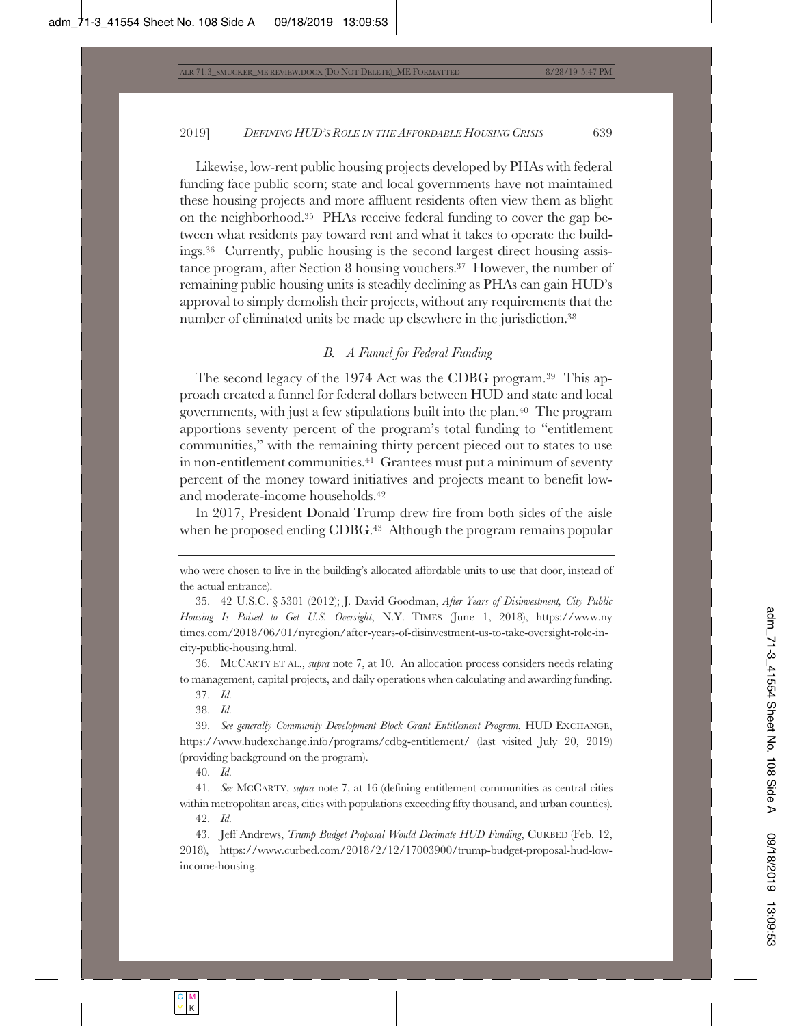Likewise, low-rent public housing projects developed by PHAs with federal funding face public scorn; state and local governments have not maintained these housing projects and more affluent residents often view them as blight on the neighborhood.35 PHAs receive federal funding to cover the gap between what residents pay toward rent and what it takes to operate the buildings.36 Currently, public housing is the second largest direct housing assistance program, after Section 8 housing vouchers.37 However, the number of remaining public housing units is steadily declining as PHAs can gain HUD's approval to simply demolish their projects, without any requirements that the number of eliminated units be made up elsewhere in the jurisdiction.<sup>38</sup>

# *B. A Funnel for Federal Funding*

The second legacy of the 1974 Act was the CDBG program.39 This approach created a funnel for federal dollars between HUD and state and local governments, with just a few stipulations built into the plan.40 The program apportions seventy percent of the program's total funding to "entitlement communities," with the remaining thirty percent pieced out to states to use in non-entitlement communities.41 Grantees must put a minimum of seventy percent of the money toward initiatives and projects meant to benefit lowand moderate-income households.42

In 2017, President Donald Trump drew fire from both sides of the aisle when he proposed ending CDBG.<sup>43</sup> Although the program remains popular

35. 42 U.S.C. § 5301 (2012); J. David Goodman, *After Years of Disinvestment, City Public Housing Is Poised to Get U.S. Oversight*, N.Y. TIMES (June 1, 2018), https://www.ny times.com/2018/06/01/nyregion/after-years-of-disinvestment-us-to-take-oversight-role-incity-public-housing.html.

36. MCCARTY ET AL., *supra* note 7, at 10. An allocation process considers needs relating to management, capital projects, and daily operations when calculating and awarding funding.

37. *Id.*

38. *Id.*

39. *See generally Community Development Block Grant Entitlement Program*, HUD EXCHANGE, https://www.hudexchange.info/programs/cdbg-entitlement/ (last visited July 20, 2019) (providing background on the program).

40. *Id.*

41. *See* MCCARTY, *supra* note 7, at 16 (defining entitlement communities as central cities within metropolitan areas, cities with populations exceeding fifty thousand, and urban counties).

42. *Id.*

43. Jeff Andrews, *Trump Budget Proposal Would Decimate HUD Funding*, CURBED (Feb. 12, 2018), https://www.curbed.com/2018/2/12/17003900/trump-budget-proposal-hud-lowincome-housing.

who were chosen to live in the building's allocated affordable units to use that door, instead of the actual entrance).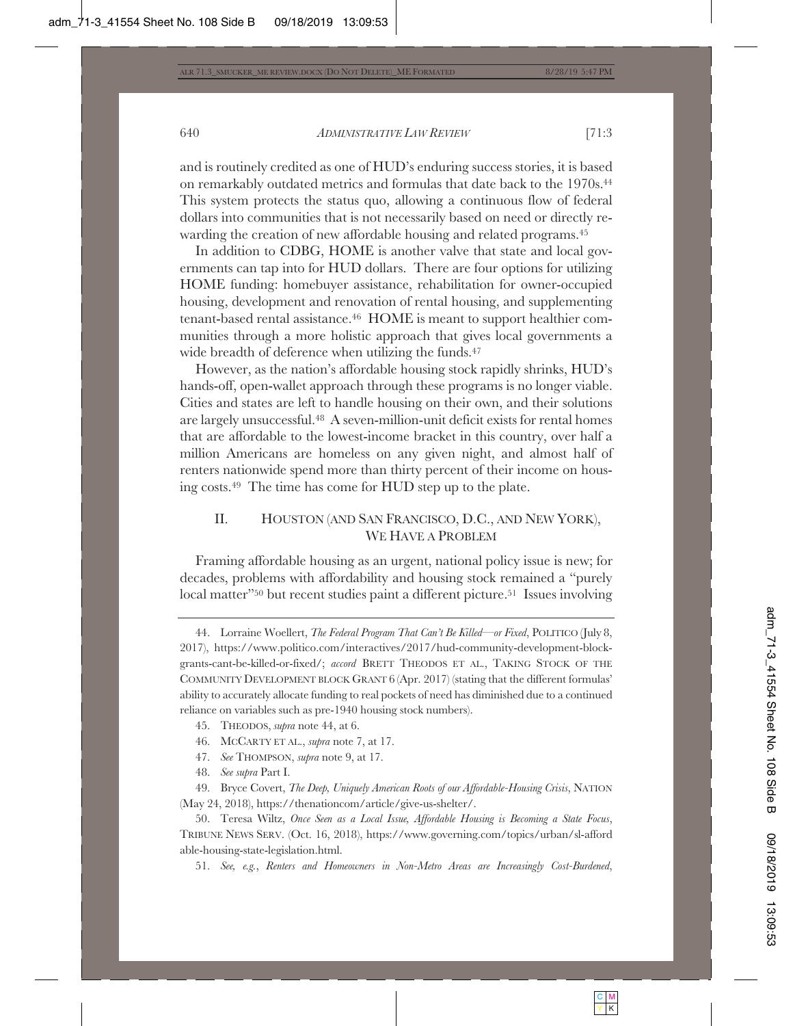and is routinely credited as one of HUD's enduring success stories, it is based on remarkably outdated metrics and formulas that date back to the 1970s.44 This system protects the status quo, allowing a continuous flow of federal dollars into communities that is not necessarily based on need or directly rewarding the creation of new affordable housing and related programs.45

In addition to CDBG, HOME is another valve that state and local governments can tap into for HUD dollars. There are four options for utilizing HOME funding: homebuyer assistance, rehabilitation for owner-occupied housing, development and renovation of rental housing, and supplementing tenant-based rental assistance.46 HOME is meant to support healthier communities through a more holistic approach that gives local governments a wide breadth of deference when utilizing the funds.<sup>47</sup>

However, as the nation's affordable housing stock rapidly shrinks, HUD's hands-off, open-wallet approach through these programs is no longer viable. Cities and states are left to handle housing on their own, and their solutions are largely unsuccessful.48 A seven-million-unit deficit exists for rental homes that are affordable to the lowest-income bracket in this country, over half a million Americans are homeless on any given night, and almost half of renters nationwide spend more than thirty percent of their income on housing costs.49 The time has come for HUD step up to the plate.

# II. HOUSTON (AND SAN FRANCISCO, D.C., AND NEW YORK), WE HAVE A PROBLEM

Framing affordable housing as an urgent, national policy issue is new; for decades, problems with affordability and housing stock remained a "purely local matter"<sup>50</sup> but recent studies paint a different picture.<sup>51</sup> Issues involving

- 46. MCCARTY ET AL., *supra* note 7, at 17.
- 47. *See* THOMPSON, *supra* note 9, at 17.
- 48. *See supra* Part I.

51. *See, e.g.*, *Renters and Homeowners in Non-Metro Areas are Increasingly Cost-Burdened*,

<sup>44.</sup> Lorraine Woellert, *The Federal Program That Can't Be Killed—or Fixed*, POLITICO (July 8, 2017), https://www.politico.com/interactives/2017/hud-community-development-blockgrants-cant-be-killed-or-fixed/; *accord* BRETT THEODOS ET AL., TAKING STOCK OF THE COMMUNITY DEVELOPMENT BLOCK GRANT 6 (Apr. 2017) (stating that the different formulas' ability to accurately allocate funding to real pockets of need has diminished due to a continued reliance on variables such as pre-1940 housing stock numbers).

<sup>45.</sup> THEODOS, *supra* note 44, at 6.

<sup>49.</sup> Bryce Covert, *The Deep, Uniquely American Roots of our Affordable-Housing Crisis*, NATION (May 24, 2018), https://thenationcom/article/give-us-shelter/.

<sup>50.</sup> Teresa Wiltz, *Once Seen as a Local Issue, Affordable Housing is Becoming a State Focus*, TRIBUNE NEWS SERV. (Oct. 16, 2018), https://www.governing.com/topics/urban/sl-afford able-housing-state-legislation.html.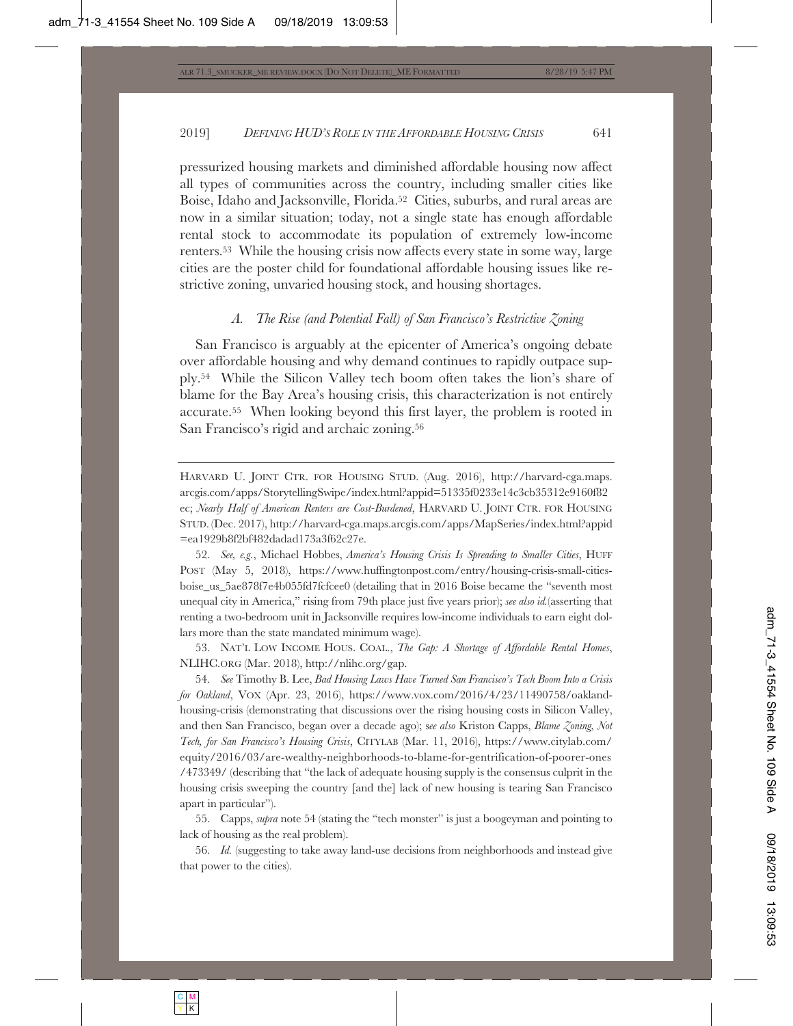pressurized housing markets and diminished affordable housing now affect all types of communities across the country, including smaller cities like Boise, Idaho and Jacksonville, Florida.<sup>52</sup> Cities, suburbs, and rural areas are now in a similar situation; today, not a single state has enough affordable rental stock to accommodate its population of extremely low-income renters.53 While the housing crisis now affects every state in some way, large cities are the poster child for foundational affordable housing issues like restrictive zoning, unvaried housing stock, and housing shortages.

#### *A. The Rise (and Potential Fall) of San Francisco's Restrictive Zoning*

San Francisco is arguably at the epicenter of America's ongoing debate over affordable housing and why demand continues to rapidly outpace supply.54 While the Silicon Valley tech boom often takes the lion's share of blame for the Bay Area's housing crisis, this characterization is not entirely accurate.55 When looking beyond this first layer, the problem is rooted in San Francisco's rigid and archaic zoning.56

HARVARD U. JOINT CTR. FOR HOUSING STUD. (Aug. 2016), http://harvard-cga.maps. arcgis.com/apps/StorytellingSwipe/index.html?appid=51335f0233e14c3cb35312e9160f82 ec; *Nearly Half of American Renters are Cost-Burdened*, HARVARD U. JOINT CTR. FOR HOUSING STUD. (Dec. 2017), http://harvard-cga.maps.arcgis.com/apps/MapSeries/index.html?appid =ea1929b8f2bf482dadad173a3f62c27e.

52. *See, e.g.*, Michael Hobbes, *America's Housing Crisis Is Spreading to Smaller Cities*, HUFF POST (May 5, 2018), https://www.huffingtonpost.com/entry/housing-crisis-small-citiesboise\_us\_5ae878f7e4b055fd7fcfcee0 (detailing that in 2016 Boise became the "seventh most unequal city in America," rising from 79th place just five years prior); *see also id.*(asserting that renting a two-bedroom unit in Jacksonville requires low-income individuals to earn eight dollars more than the state mandated minimum wage).

53. NAT'L LOW INCOME HOUS. COAL., *The Gap: A Shortage of Affordable Rental Homes*, NLIHC.ORG (Mar. 2018), http://nlihc.org/gap.

54. *See* Timothy B. Lee, *Bad Housing Laws Have Turned San Francisco's Tech Boom Into a Crisis for Oakland*, VOX (Apr. 23, 2016), https://www.vox.com/2016/4/23/11490758/oaklandhousing-crisis (demonstrating that discussions over the rising housing costs in Silicon Valley, and then San Francisco, began over a decade ago); s*ee also* Kriston Capps, *Blame Zoning, Not Tech, for San Francisco's Housing Crisis*, CITYLAB (Mar. 11, 2016), https://www.citylab.com/ equity/2016/03/are-wealthy-neighborhoods-to-blame-for-gentrification-of-poorer-ones /473349/ (describing that "the lack of adequate housing supply is the consensus culprit in the housing crisis sweeping the country [and the] lack of new housing is tearing San Francisco apart in particular").

55. Capps, *supra* note 54 (stating the "tech monster" is just a boogeyman and pointing to lack of housing as the real problem).

56. *Id.* (suggesting to take away land-use decisions from neighborhoods and instead give that power to the cities).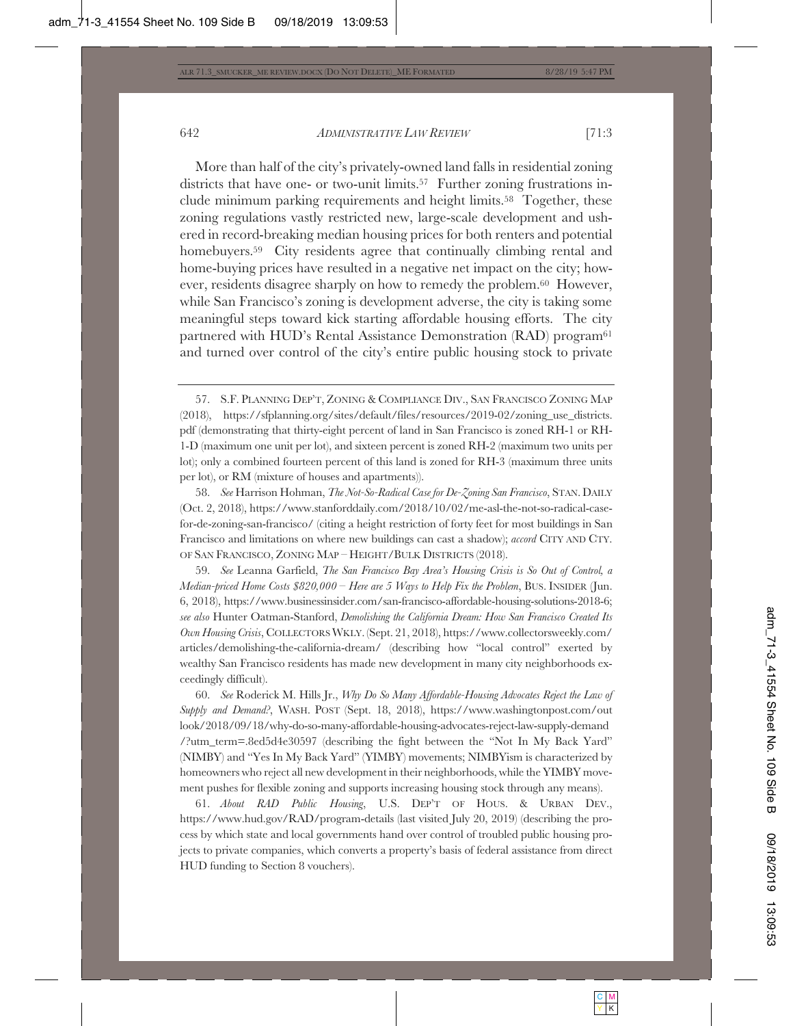More than half of the city's privately-owned land falls in residential zoning districts that have one- or two-unit limits.<sup>57</sup> Further zoning frustrations include minimum parking requirements and height limits.<sup>58</sup> Together, these zoning regulations vastly restricted new, large-scale development and ushered in record-breaking median housing prices for both renters and potential homebuyers.<sup>59</sup> City residents agree that continually climbing rental and home-buying prices have resulted in a negative net impact on the city; however, residents disagree sharply on how to remedy the problem.60 However, while San Francisco's zoning is development adverse, the city is taking some meaningful steps toward kick starting affordable housing efforts. The city partnered with HUD's Rental Assistance Demonstration (RAD) program<sup>61</sup> and turned over control of the city's entire public housing stock to private

58. *See* Harrison Hohman, *The Not-So-Radical Case for De-Zoning San Francisco*, STAN. DAILY (Oct. 2, 2018), https://www.stanforddaily.com/2018/10/02/me-asl-the-not-so-radical-casefor-de-zoning-san-francisco/ (citing a height restriction of forty feet for most buildings in San Francisco and limitations on where new buildings can cast a shadow); *accord* CITY AND CTY. OF SAN FRANCISCO, ZONING MAP – HEIGHT/BULK DISTRICTS (2018).

59. *See* Leanna Garfield, *The San Francisco Bay Area's Housing Crisis is So Out of Control, a Median-priced Home Costs \$820,000 – Here are 5 Ways to Help Fix the Problem*, BUS. INSIDER (Jun. 6, 2018), https://www.businessinsider.com/san-francisco-affordable-housing-solutions-2018-6; *see also* Hunter Oatman-Stanford, *Demolishing the California Dream: How San Francisco Created Its Own Housing Crisis*, COLLECTORSWKLY. (Sept. 21, 2018), https://www.collectorsweekly.com/ articles/demolishing-the-california-dream/ (describing how "local control" exerted by wealthy San Francisco residents has made new development in many city neighborhoods exceedingly difficult).

60. *See* Roderick M. Hills Jr., *Why Do So Many Affordable-Housing Advocates Reject the Law of Supply and Demand?*, WASH. POST (Sept. 18, 2018), https://www.washingtonpost.com/out look/2018/09/18/why-do-so-many-affordable-housing-advocates-reject-law-supply-demand /?utm\_term=.8ed5d4e30597 (describing the fight between the "Not In My Back Yard" (NIMBY) and "Yes In My Back Yard" (YIMBY) movements; NIMBYism is characterized by homeowners who reject all new development in their neighborhoods, while the YIMBY movement pushes for flexible zoning and supports increasing housing stock through any means).

61. *About RAD Public Housing*, U.S. DEP'T OF HOUS.&URBAN DEV., https://www.hud.gov/RAD/program-details (last visited July 20, 2019) (describing the process by which state and local governments hand over control of troubled public housing projects to private companies, which converts a property's basis of federal assistance from direct HUD funding to Section 8 vouchers).

<sup>57.</sup> S.F. PLANNING DEP'T, ZONING & COMPLIANCE DIV., SAN FRANCISCO ZONING MAP (2018), https://sfplanning.org/sites/default/files/resources/2019-02/zoning\_use\_districts. pdf (demonstrating that thirty-eight percent of land in San Francisco is zoned RH-1 or RH-1-D (maximum one unit per lot), and sixteen percent is zoned RH-2 (maximum two units per lot); only a combined fourteen percent of this land is zoned for RH-3 (maximum three units per lot), or RM (mixture of houses and apartments)).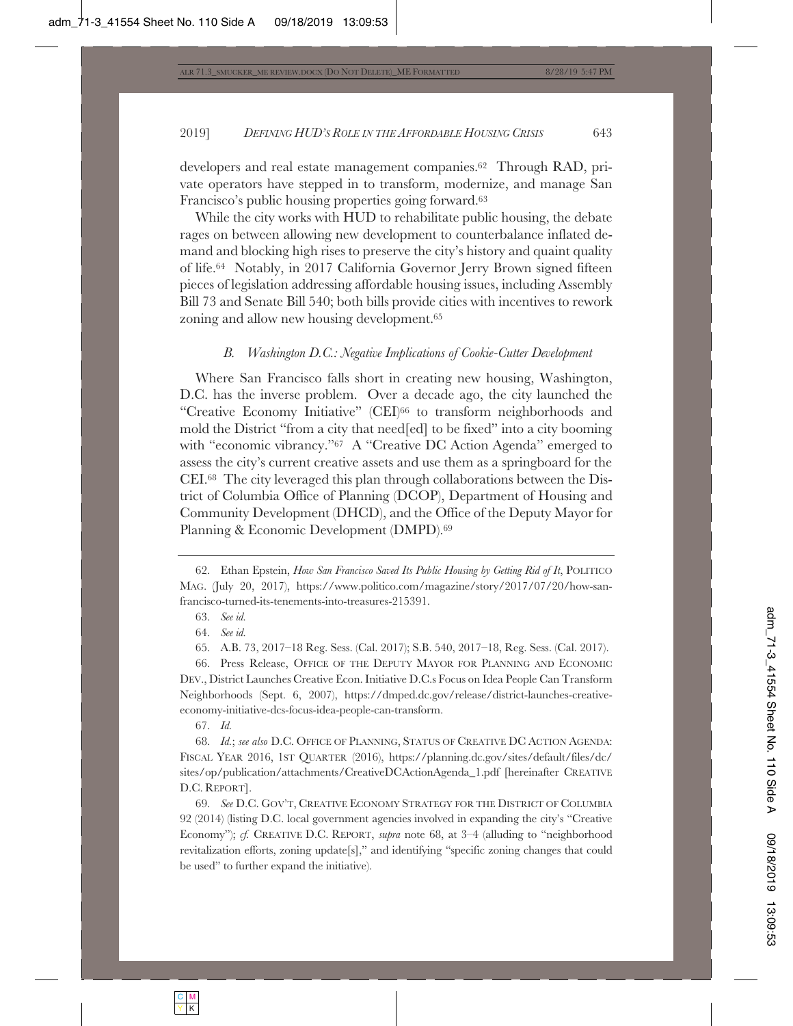developers and real estate management companies.62 Through RAD, private operators have stepped in to transform, modernize, and manage San Francisco's public housing properties going forward.63

While the city works with HUD to rehabilitate public housing, the debate rages on between allowing new development to counterbalance inflated demand and blocking high rises to preserve the city's history and quaint quality of life.64 Notably, in 2017 California Governor Jerry Brown signed fifteen pieces of legislation addressing affordable housing issues, including Assembly Bill 73 and Senate Bill 540; both bills provide cities with incentives to rework zoning and allow new housing development.65

#### *B. Washington D.C.: Negative Implications of Cookie-Cutter Development*

Where San Francisco falls short in creating new housing, Washington, D.C. has the inverse problem. Over a decade ago, the city launched the "Creative Economy Initiative" (CEI)66 to transform neighborhoods and mold the District "from a city that need[ed] to be fixed" into a city booming with "economic vibrancy."67 A "Creative DC Action Agenda" emerged to assess the city's current creative assets and use them as a springboard for the CEI.68 The city leveraged this plan through collaborations between the District of Columbia Office of Planning (DCOP), Department of Housing and Community Development (DHCD), and the Office of the Deputy Mayor for Planning & Economic Development (DMPD).69

66. Press Release, OFFICE OF THE DEPUTY MAYOR FOR PLANNING AND ECONOMIC DEV., District Launches Creative Econ. Initiative D.C.s Focus on Idea People Can Transform Neighborhoods (Sept. 6, 2007), https://dmped.dc.gov/release/district-launches-creativeeconomy-initiative-dcs-focus-idea-people-can-transform.

67. *Id.*

68. *Id.*; *see also* D.C. OFFICE OF PLANNING, STATUS OF CREATIVE DC ACTION AGENDA: FISCAL YEAR 2016, 1ST QUARTER (2016), https://planning.dc.gov/sites/default/files/dc/ sites/op/publication/attachments/CreativeDCActionAgenda\_1.pdf [hereinafter CREATIVE D.C. REPORT].

69. *See* D.C. GOV'T, CREATIVE ECONOMY STRATEGY FOR THE DISTRICT OF COLUMBIA 92 (2014) (listing D.C. local government agencies involved in expanding the city's "Creative Economy"); *cf.* CREATIVE D.C. REPORT, *supra* note 68, at 3–4 (alluding to "neighborhood revitalization efforts, zoning update[s]," and identifying "specific zoning changes that could be used" to further expand the initiative).

<sup>62.</sup> Ethan Epstein, *How San Francisco Saved Its Public Housing by Getting Rid of It*, POLITICO MAG. (July 20, 2017), https://www.politico.com/magazine/story/2017/07/20/how-sanfrancisco-turned-its-tenements-into-treasures-215391.

<sup>63.</sup> *See id.*

<sup>64.</sup> *See id.*

<sup>65.</sup> A.B. 73, 2017–18 Reg. Sess. (Cal. 2017); S.B. 540, 2017–18, Reg. Sess. (Cal. 2017).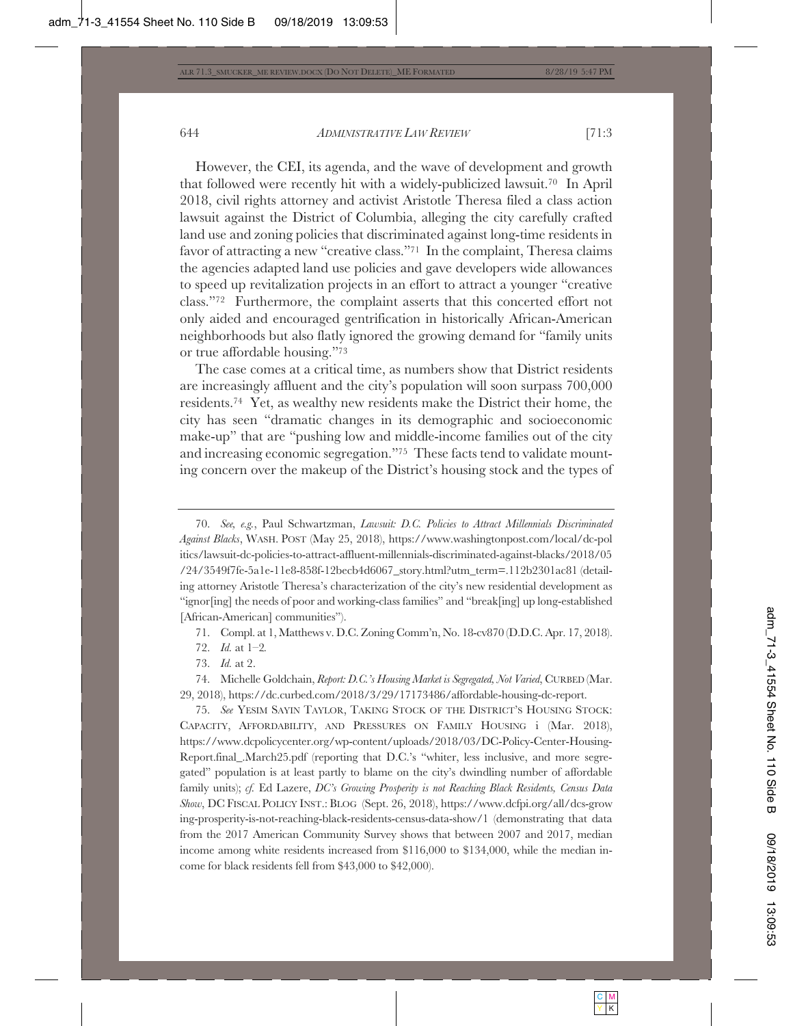However, the CEI, its agenda, and the wave of development and growth that followed were recently hit with a widely-publicized lawsuit.70 In April 2018, civil rights attorney and activist Aristotle Theresa filed a class action lawsuit against the District of Columbia, alleging the city carefully crafted land use and zoning policies that discriminated against long-time residents in favor of attracting a new "creative class."71 In the complaint, Theresa claims the agencies adapted land use policies and gave developers wide allowances to speed up revitalization projects in an effort to attract a younger "creative class."72 Furthermore, the complaint asserts that this concerted effort not only aided and encouraged gentrification in historically African-American neighborhoods but also flatly ignored the growing demand for "family units or true affordable housing."73

The case comes at a critical time, as numbers show that District residents are increasingly affluent and the city's population will soon surpass 700,000 residents.74 Yet, as wealthy new residents make the District their home, the city has seen "dramatic changes in its demographic and socioeconomic make-up" that are "pushing low and middle-income families out of the city and increasing economic segregation."75 These facts tend to validate mounting concern over the makeup of the District's housing stock and the types of

73. *Id.* at 2.

74. Michelle Goldchain, *Report: D.C.'s Housing Market is Segregated, Not Varied*, CURBED (Mar. 29, 2018), https://dc.curbed.com/2018/3/29/17173486/affordable-housing-dc-report.

75. *See* YESIM SAYIN TAYLOR, TAKING STOCK OF THE DISTRICT'S HOUSING STOCK: CAPACITY, AFFORDABILITY, AND PRESSURES ON FAMILY HOUSING i (Mar. 2018), https://www.dcpolicycenter.org/wp-content/uploads/2018/03/DC-Policy-Center-Housing-Report.final\_.March25.pdf (reporting that D.C.'s "whiter, less inclusive, and more segregated" population is at least partly to blame on the city's dwindling number of affordable family units); *cf.* Ed Lazere, *DC's Growing Prosperity is not Reaching Black Residents, Census Data Show*, DC FISCAL POLICY INST.: BLOG (Sept. 26, 2018), https://www.dcfpi.org/all/dcs-grow ing-prosperity-is-not-reaching-black-residents-census-data-show/1 (demonstrating that data from the 2017 American Community Survey shows that between 2007 and 2017, median income among white residents increased from \$116,000 to \$134,000, while the median income for black residents fell from \$43,000 to \$42,000).

<sup>70.</sup> *See, e.g.*, Paul Schwartzman, *Lawsuit: D.C. Policies to Attract Millennials Discriminated Against Blacks*, WASH. POST (May 25, 2018), https://www.washingtonpost.com/local/dc-pol itics/lawsuit-dc-policies-to-attract-affluent-millennials-discriminated-against-blacks/2018/05 /24/3549f7fe-5a1e-11e8-858f-12becb4d6067\_story.html?utm\_term=.112b2301ac81 (detailing attorney Aristotle Theresa's characterization of the city's new residential development as "ignor[ing] the needs of poor and working-class families" and "break[ing] up long-established [African-American] communities").

<sup>71.</sup> Compl. at 1, Matthews v. D.C. Zoning Comm'n, No. 18-cv870 (D.D.C. Apr. 17, 2018).

<sup>72.</sup> *Id.* at 1–2*.*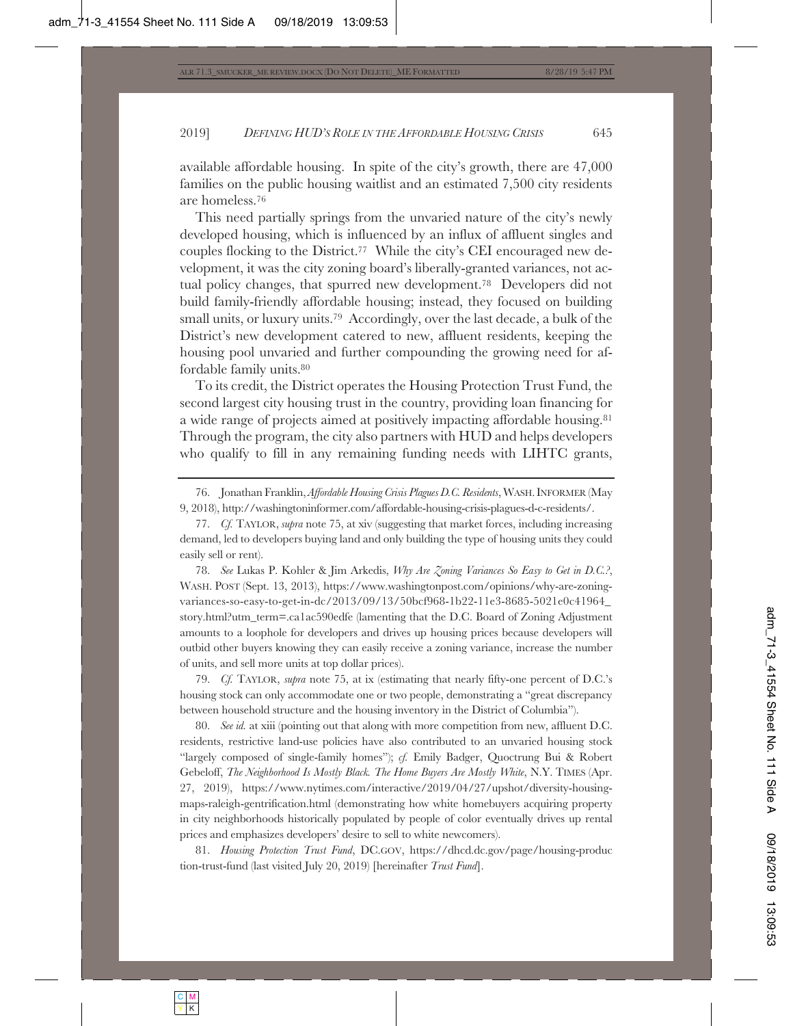available affordable housing. In spite of the city's growth, there are 47,000 families on the public housing waitlist and an estimated 7,500 city residents are homeless.76

This need partially springs from the unvaried nature of the city's newly developed housing, which is influenced by an influx of affluent singles and couples flocking to the District.77 While the city's CEI encouraged new development, it was the city zoning board's liberally-granted variances, not actual policy changes, that spurred new development.78 Developers did not build family-friendly affordable housing; instead, they focused on building small units, or luxury units.79 Accordingly, over the last decade, a bulk of the District's new development catered to new, affluent residents, keeping the housing pool unvaried and further compounding the growing need for affordable family units.80

To its credit, the District operates the Housing Protection Trust Fund, the second largest city housing trust in the country, providing loan financing for a wide range of projects aimed at positively impacting affordable housing.81 Through the program, the city also partners with HUD and helps developers who qualify to fill in any remaining funding needs with LIHTC grants,

78. *See* Lukas P. Kohler & Jim Arkedis, *Why Are Zoning Variances So Easy to Get in D.C.?*, WASH. POST (Sept. 13, 2013), https://www.washingtonpost.com/opinions/why-are-zoningvariances-so-easy-to-get-in-dc/2013/09/13/50bcf968-1b22-11e3-8685-5021e0c41964\_ story.html?utm\_term=.ca1ac590edfe (lamenting that the D.C. Board of Zoning Adjustment amounts to a loophole for developers and drives up housing prices because developers will outbid other buyers knowing they can easily receive a zoning variance, increase the number of units, and sell more units at top dollar prices).

79. *Cf.* TAYLOR, *supra* note 75, at ix (estimating that nearly fifty-one percent of D.C.'s housing stock can only accommodate one or two people, demonstrating a "great discrepancy between household structure and the housing inventory in the District of Columbia").

80. *See id.* at xiii (pointing out that along with more competition from new, affluent D.C. residents, restrictive land-use policies have also contributed to an unvaried housing stock "largely composed of single-family homes"); *cf.* Emily Badger, Quoctrung Bui & Robert Gebeloff, *The Neighborhood Is Mostly Black. The Home Buyers Are Mostly White*, N.Y. TIMES (Apr. 27, 2019), https://www.nytimes.com/interactive/2019/04/27/upshot/diversity-housingmaps-raleigh-gentrification.html (demonstrating how white homebuyers acquiring property in city neighborhoods historically populated by people of color eventually drives up rental prices and emphasizes developers' desire to sell to white newcomers).

81. *Housing Protection Trust Fund*, DC.GOV, https://dhcd.dc.gov/page/housing-produc tion-trust-fund (last visited July 20, 2019) [hereinafter *Trust Fund*].

<sup>76.</sup> Jonathan Franklin, *Affordable Housing Crisis Plagues D.C. Residents*, WASH.INFORMER (May 9, 2018), http://washingtoninformer.com/affordable-housing-crisis-plagues-d-c-residents/.

<sup>77.</sup> *Cf.* TAYLOR, *supra* note 75, at xiv (suggesting that market forces, including increasing demand, led to developers buying land and only building the type of housing units they could easily sell or rent).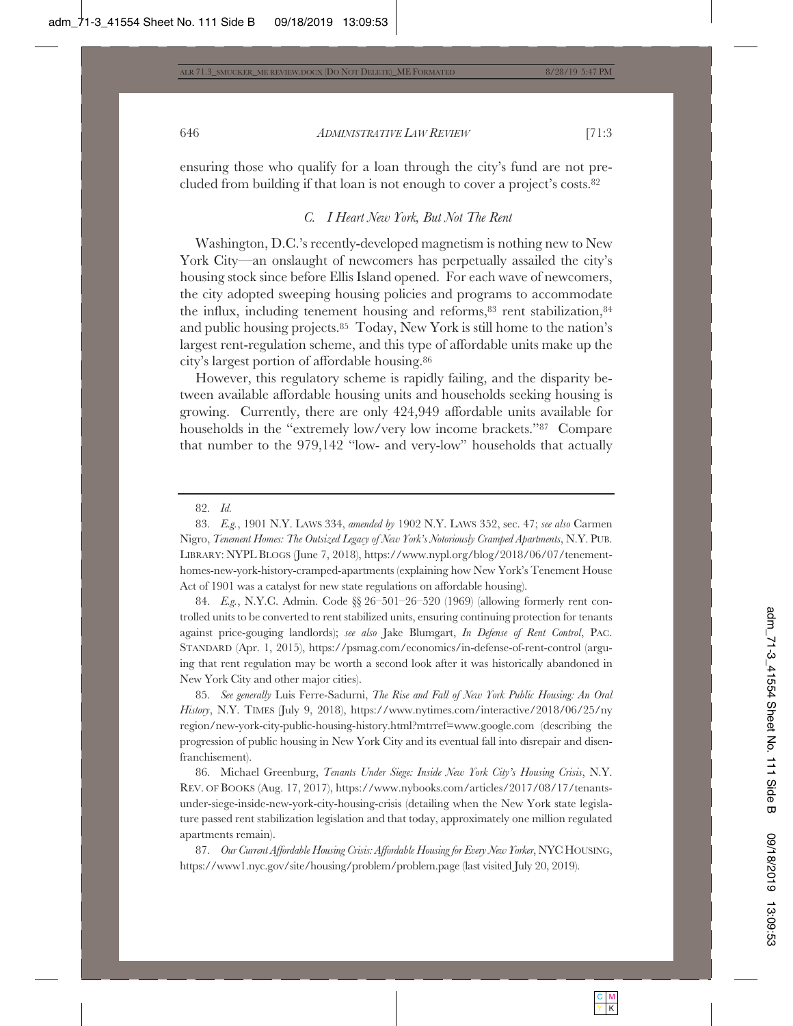ensuring those who qualify for a loan through the city's fund are not precluded from building if that loan is not enough to cover a project's costs.82

#### *C. I Heart New York, But Not The Rent*

Washington, D.C.'s recently-developed magnetism is nothing new to New York City—an onslaught of newcomers has perpetually assailed the city's housing stock since before Ellis Island opened. For each wave of newcomers, the city adopted sweeping housing policies and programs to accommodate the influx, including tenement housing and reforms, $83$  rent stabilization, $84$ and public housing projects.85 Today, New York is still home to the nation's largest rent-regulation scheme, and this type of affordable units make up the city's largest portion of affordable housing.86

However, this regulatory scheme is rapidly failing, and the disparity between available affordable housing units and households seeking housing is growing. Currently, there are only 424,949 affordable units available for households in the "extremely low/very low income brackets."87 Compare that number to the 979,142 "low- and very-low" households that actually

84. *E.g.*, N.Y.C. Admin. Code §§ 26–501–26–520 (1969) (allowing formerly rent controlled units to be converted to rent stabilized units, ensuring continuing protection for tenants against price-gouging landlords); *see also* Jake Blumgart, *In Defense of Rent Control*, PAC. STANDARD (Apr. 1, 2015), https://psmag.com/economics/in-defense-of-rent-control (arguing that rent regulation may be worth a second look after it was historically abandoned in New York City and other major cities).

85. *See generally* Luis Ferre-Sadurni, *The Rise and Fall of New York Public Housing: An Oral History*, N.Y. TIMES (July 9, 2018), https://www.nytimes.com/interactive/2018/06/25/ny region/new-york-city-public-housing-history.html?mtrref=www.google.com (describing the progression of public housing in New York City and its eventual fall into disrepair and disenfranchisement).

86. Michael Greenburg, *Tenants Under Siege: Inside New York City's Housing Crisis*, N.Y. REV. OF BOOKS (Aug. 17, 2017), https://www.nybooks.com/articles/2017/08/17/tenantsunder-siege-inside-new-york-city-housing-crisis (detailing when the New York state legislature passed rent stabilization legislation and that today, approximately one million regulated apartments remain).

87. Our Current Affordable Housing Crisis: Affordable Housing for Every New Yorker, NYC HOUSING, https://www1.nyc.gov/site/housing/problem/problem.page (last visited July 20, 2019).

<sup>82.</sup> *Id.*

<sup>83.</sup> *E.g.*, 1901 N.Y. LAWS 334, *amended by* 1902 N.Y. LAWS 352, sec. 47; *see also* Carmen Nigro, *Tenement Homes: The Outsized Legacy of New York's Notoriously Cramped Apartments*, N.Y. PUB. LIBRARY: NYPL BLOGS (June 7, 2018), https://www.nypl.org/blog/2018/06/07/tenementhomes-new-york-history-cramped-apartments (explaining how New York's Tenement House Act of 1901 was a catalyst for new state regulations on affordable housing).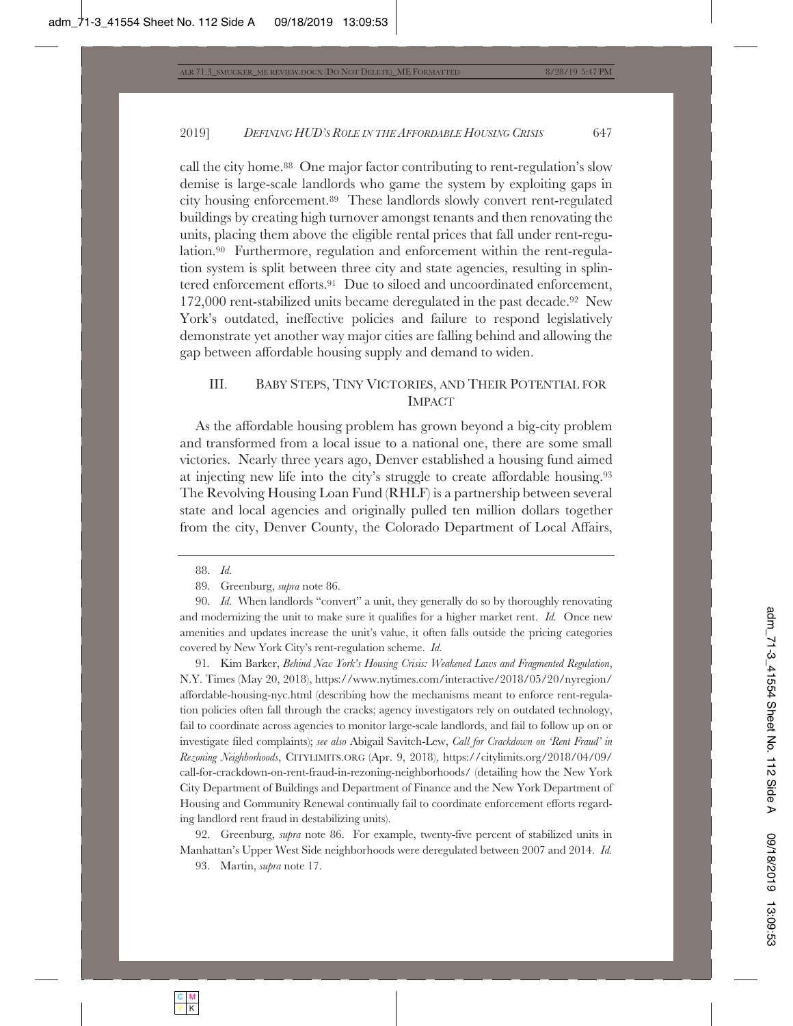call the city home.88 One major factor contributing to rent-regulation's slow demise is large-scale landlords who game the system by exploiting gaps in city housing enforcement.89 These landlords slowly convert rent-regulated buildings by creating high turnover amongst tenants and then renovating the units, placing them above the eligible rental prices that fall under rent-regulation.90 Furthermore, regulation and enforcement within the rent-regulation system is split between three city and state agencies, resulting in splintered enforcement efforts.91 Due to siloed and uncoordinated enforcement, 172,000 rent-stabilized units became deregulated in the past decade.92 New York's outdated, ineffective policies and failure to respond legislatively demonstrate yet another way major cities are falling behind and allowing the gap between affordable housing supply and demand to widen.

# III. BABY STEPS, TINY VICTORIES, AND THEIR POTENTIAL FOR IMPACT

As the affordable housing problem has grown beyond a big-city problem and transformed from a local issue to a national one, there are some small victories. Nearly three years ago, Denver established a housing fund aimed at injecting new life into the city's struggle to create affordable housing.93 The Revolving Housing Loan Fund (RHLF) is a partnership between several state and local agencies and originally pulled ten million dollars together from the city, Denver County, the Colorado Department of Local Affairs,

91*.* Kim Barker, *Behind New York's Housing Crisis: Weakened Laws and Fragmented Regulation*, N.Y. Times (May 20, 2018), https://www.nytimes.com/interactive/2018/05/20/nyregion/ affordable-housing-nyc.html (describing how the mechanisms meant to enforce rent-regulation policies often fall through the cracks; agency investigators rely on outdated technology, fail to coordinate across agencies to monitor large-scale landlords, and fail to follow up on or investigate filed complaints); *see also* Abigail Savitch-Lew, *Call for Crackdown on 'Rent Fraud' in Rezoning Neighborhoods*, CITYLIMITS.ORG (Apr. 9, 2018), https://citylimits.org/2018/04/09/ call-for-crackdown-on-rent-fraud-in-rezoning-neighborhoods/ (detailing how the New York City Department of Buildings and Department of Finance and the New York Department of Housing and Community Renewal continually fail to coordinate enforcement efforts regarding landlord rent fraud in destabilizing units).

92. Greenburg, *supra* note 86. For example, twenty-five percent of stabilized units in Manhattan's Upper West Side neighborhoods were deregulated between 2007 and 2014. *Id.*

93. Martin, *supra* note 17.

<sup>88.</sup> *Id.*

<sup>89.</sup> Greenburg, *supra* note 86.

<sup>90.</sup> *Id.* When landlords "convert" a unit, they generally do so by thoroughly renovating and modernizing the unit to make sure it qualifies for a higher market rent. *Id.* Once new amenities and updates increase the unit's value, it often falls outside the pricing categories covered by New York City's rent-regulation scheme. *Id.*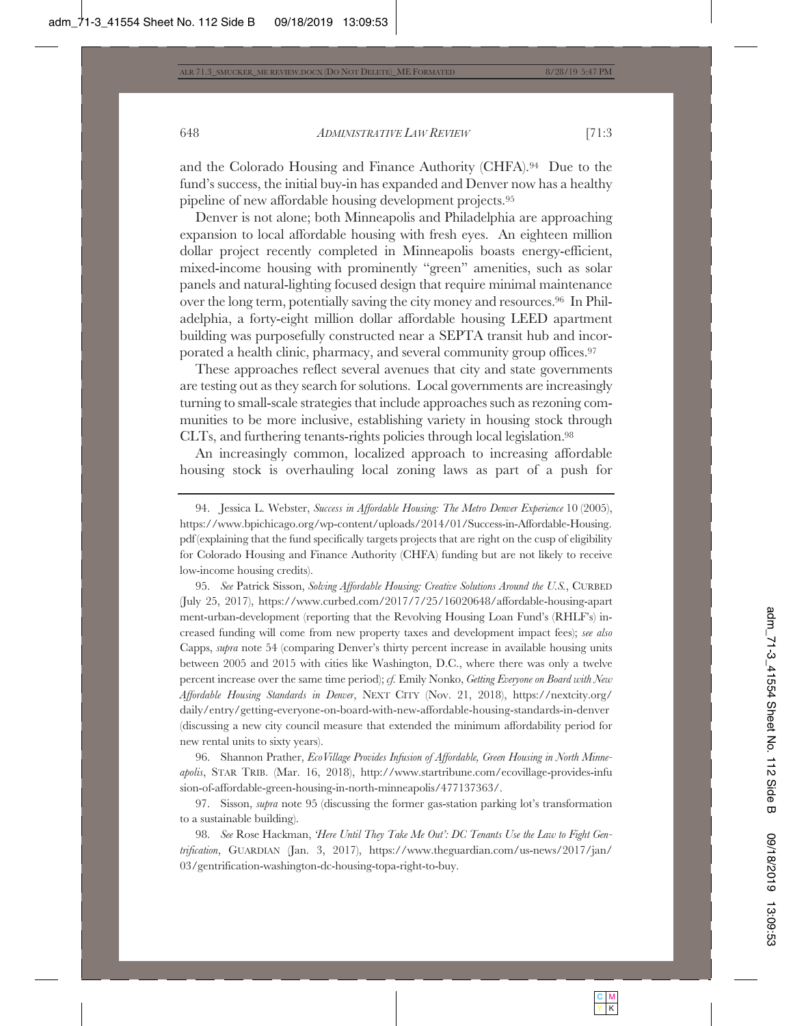and the Colorado Housing and Finance Authority (CHFA).94 Due to the fund's success, the initial buy-in has expanded and Denver now has a healthy pipeline of new affordable housing development projects.95

Denver is not alone; both Minneapolis and Philadelphia are approaching expansion to local affordable housing with fresh eyes. An eighteen million dollar project recently completed in Minneapolis boasts energy-efficient, mixed-income housing with prominently "green" amenities, such as solar panels and natural-lighting focused design that require minimal maintenance over the long term, potentially saving the city money and resources.96 In Philadelphia, a forty-eight million dollar affordable housing LEED apartment building was purposefully constructed near a SEPTA transit hub and incorporated a health clinic, pharmacy, and several community group offices.97

These approaches reflect several avenues that city and state governments are testing out as they search for solutions. Local governments are increasingly turning to small-scale strategies that include approaches such as rezoning communities to be more inclusive, establishing variety in housing stock through CLTs, and furthering tenants-rights policies through local legislation.98

An increasingly common, localized approach to increasing affordable housing stock is overhauling local zoning laws as part of a push for

95. *See* Patrick Sisson, *Solving Affordable Housing: Creative Solutions Around the U.S.*, CURBED (July 25, 2017), https://www.curbed.com/2017/7/25/16020648/affordable-housing-apart ment-urban-development (reporting that the Revolving Housing Loan Fund's (RHLF's) increased funding will come from new property taxes and development impact fees); *see also*  Capps, *supra* note 54 (comparing Denver's thirty percent increase in available housing units between 2005 and 2015 with cities like Washington, D.C., where there was only a twelve percent increase over the same time period); *cf.* Emily Nonko, *Getting Everyone on Board with New Affordable Housing Standards in Denver*, NEXT CITY (Nov. 21, 2018), https://nextcity.org/ daily/entry/getting-everyone-on-board-with-new-affordable-housing-standards-in-denver (discussing a new city council measure that extended the minimum affordability period for new rental units to sixty years).

96. Shannon Prather, *EcoVillage Provides Infusion of Affordable, Green Housing in North Minneapolis*, STAR TRIB. (Mar. 16, 2018), http://www.startribune.com/ecovillage-provides-infu sion-of-affordable-green-housing-in-north-minneapolis/477137363/.

97. Sisson, *supra* note 95 (discussing the former gas-station parking lot's transformation to a sustainable building).

98. *See* Rose Hackman, *'Here Until They Take Me Out': DC Tenants Use the Law to Fight Gentrification*, GUARDIAN (Jan. 3, 2017), https://www.theguardian.com/us-news/2017/jan/ 03/gentrification-washington-dc-housing-topa-right-to-buy.

<sup>94.</sup> Jessica L. Webster, *Success in Affordable Housing: The Metro Denver Experience* 10 (2005), https://www.bpichicago.org/wp-content/uploads/2014/01/Success-in-Affordable-Housing. pdf (explaining that the fund specifically targets projects that are right on the cusp of eligibility for Colorado Housing and Finance Authority (CHFA) funding but are not likely to receive low-income housing credits).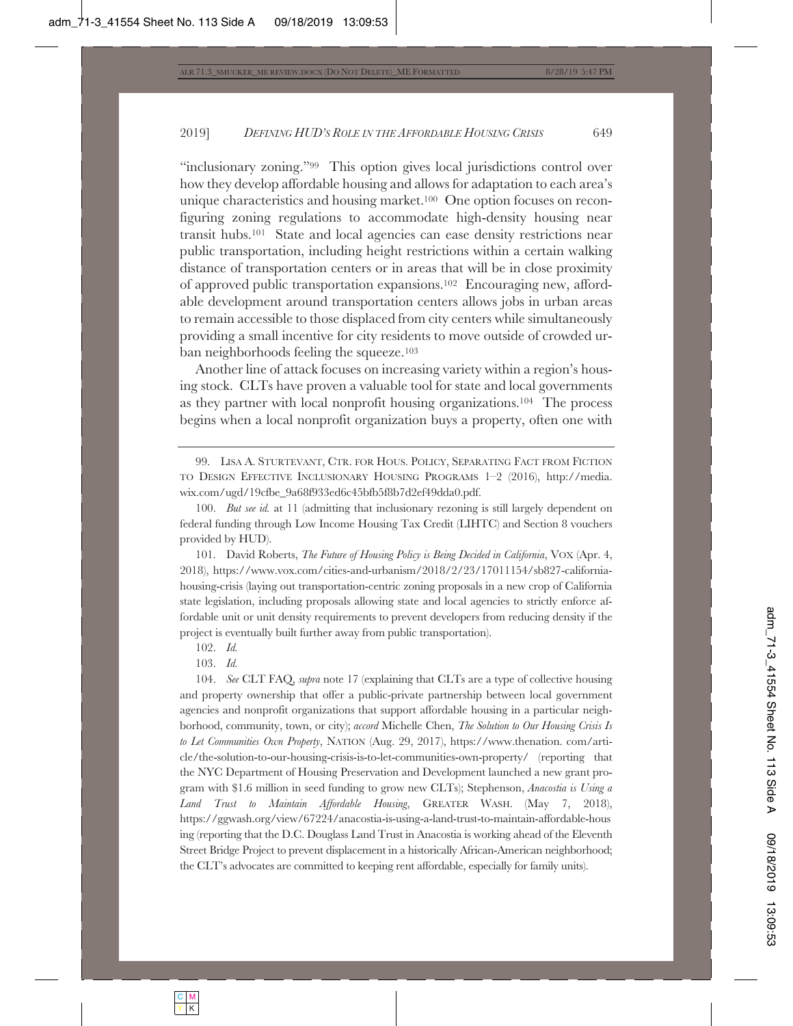"inclusionary zoning."99 This option gives local jurisdictions control over how they develop affordable housing and allows for adaptation to each area's unique characteristics and housing market.<sup>100</sup> One option focuses on reconfiguring zoning regulations to accommodate high-density housing near transit hubs.101 State and local agencies can ease density restrictions near public transportation, including height restrictions within a certain walking distance of transportation centers or in areas that will be in close proximity of approved public transportation expansions.102 Encouraging new, affordable development around transportation centers allows jobs in urban areas to remain accessible to those displaced from city centers while simultaneously providing a small incentive for city residents to move outside of crowded urban neighborhoods feeling the squeeze.103

Another line of attack focuses on increasing variety within a region's housing stock. CLTs have proven a valuable tool for state and local governments as they partner with local nonprofit housing organizations.104 The process begins when a local nonprofit organization buys a property, often one with

101. David Roberts, *The Future of Housing Policy is Being Decided in California*, VOX (Apr. 4, 2018), https://www.vox.com/cities-and-urbanism/2018/2/23/17011154/sb827-californiahousing-crisis (laying out transportation-centric zoning proposals in a new crop of California state legislation, including proposals allowing state and local agencies to strictly enforce affordable unit or unit density requirements to prevent developers from reducing density if the project is eventually built further away from public transportation).

102. *Id.*

103. *Id.*

104. *See* CLT FAQ, *supra* note 17 (explaining that CLTs are a type of collective housing and property ownership that offer a public-private partnership between local government agencies and nonprofit organizations that support affordable housing in a particular neighborhood, community, town, or city); *accord* Michelle Chen, *The Solution to Our Housing Crisis Is to Let Communities Own Property*, NATION (Aug. 29, 2017), https://www.thenation. com/article/the-solution-to-our-housing-crisis-is-to-let-communities-own-property/ (reporting that the NYC Department of Housing Preservation and Development launched a new grant program with \$1.6 million in seed funding to grow new CLTs); Stephenson, *Anacostia is Using a Land Trust to Maintain Affordable Housing*, GREATER WASH. (May 7, 2018), https://ggwash.org/view/67224/anacostia-is-using-a-land-trust-to-maintain-affordable-hous ing (reporting that the D.C. Douglass Land Trust in Anacostia is working ahead of the Eleventh Street Bridge Project to prevent displacement in a historically African-American neighborhood; the CLT's advocates are committed to keeping rent affordable, especially for family units).

<sup>99.</sup> LISA A. STURTEVANT, CTR. FOR HOUS. POLICY, SEPARATING FACT FROM FICTION TO DESIGN EFFECTIVE INCLUSIONARY HOUSING PROGRAMS 1–2 (2016), http://media. wix.com/ugd/19cfbe\_9a68f933ed6c45bfb5f8b7d2ef49dda0.pdf.

<sup>100.</sup> *But see id.* at 11 (admitting that inclusionary rezoning is still largely dependent on federal funding through Low Income Housing Tax Credit (LIHTC) and Section 8 vouchers provided by HUD).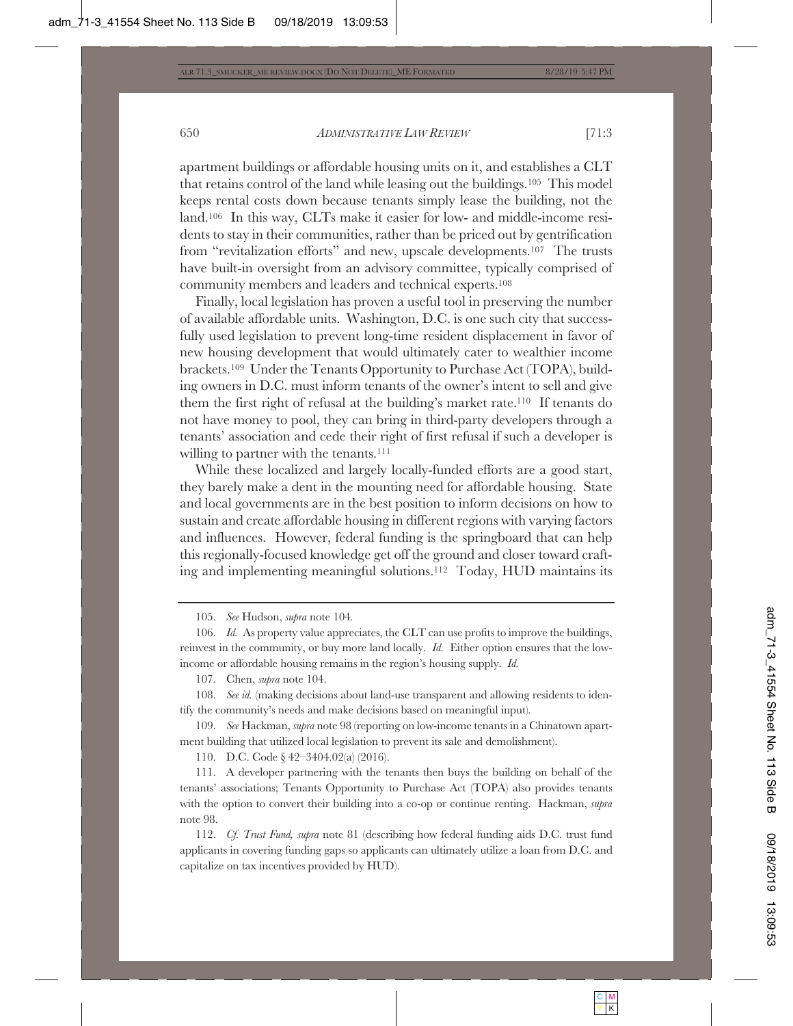apartment buildings or affordable housing units on it, and establishes a CLT that retains control of the land while leasing out the buildings.105 This model keeps rental costs down because tenants simply lease the building, not the land.106 In this way, CLTs make it easier for low- and middle-income residents to stay in their communities, rather than be priced out by gentrification from "revitalization efforts" and new, upscale developments.107 The trusts have built-in oversight from an advisory committee, typically comprised of community members and leaders and technical experts.108

Finally, local legislation has proven a useful tool in preserving the number of available affordable units. Washington, D.C. is one such city that successfully used legislation to prevent long-time resident displacement in favor of new housing development that would ultimately cater to wealthier income brackets.109 Under the Tenants Opportunity to Purchase Act (TOPA), building owners in D.C. must inform tenants of the owner's intent to sell and give them the first right of refusal at the building's market rate.110 If tenants do not have money to pool, they can bring in third-party developers through a tenants' association and cede their right of first refusal if such a developer is willing to partner with the tenants.<sup>111</sup>

While these localized and largely locally-funded efforts are a good start, they barely make a dent in the mounting need for affordable housing. State and local governments are in the best position to inform decisions on how to sustain and create affordable housing in different regions with varying factors and influences. However, federal funding is the springboard that can help this regionally-focused knowledge get off the ground and closer toward crafting and implementing meaningful solutions.112 Today, HUD maintains its

105. *See* Hudson, *supra* note 104*.*

106. *Id.* As property value appreciates, the CLT can use profits to improve the buildings, reinvest in the community, or buy more land locally. *Id.* Either option ensures that the lowincome or affordable housing remains in the region's housing supply. *Id.*

107. Chen, *supra* note 104.

108. *See id.* (making decisions about land-use transparent and allowing residents to identify the community's needs and make decisions based on meaningful input)*.*

109. *See* Hackman, *supra* note 98 (reporting on low-income tenants in a Chinatown apartment building that utilized local legislation to prevent its sale and demolishment).

110. D.C. Code § 42–3404.02(a) (2016).

111. A developer partnering with the tenants then buys the building on behalf of the tenants' associations; Tenants Opportunity to Purchase Act (TOPA) also provides tenants with the option to convert their building into a co-op or continue renting. Hackman, *supra* note 98.

112. *Cf. Trust Fund, supra* note 81 (describing how federal funding aids D.C. trust fund applicants in covering funding gaps so applicants can ultimately utilize a loan from D.C. and capitalize on tax incentives provided by HUD).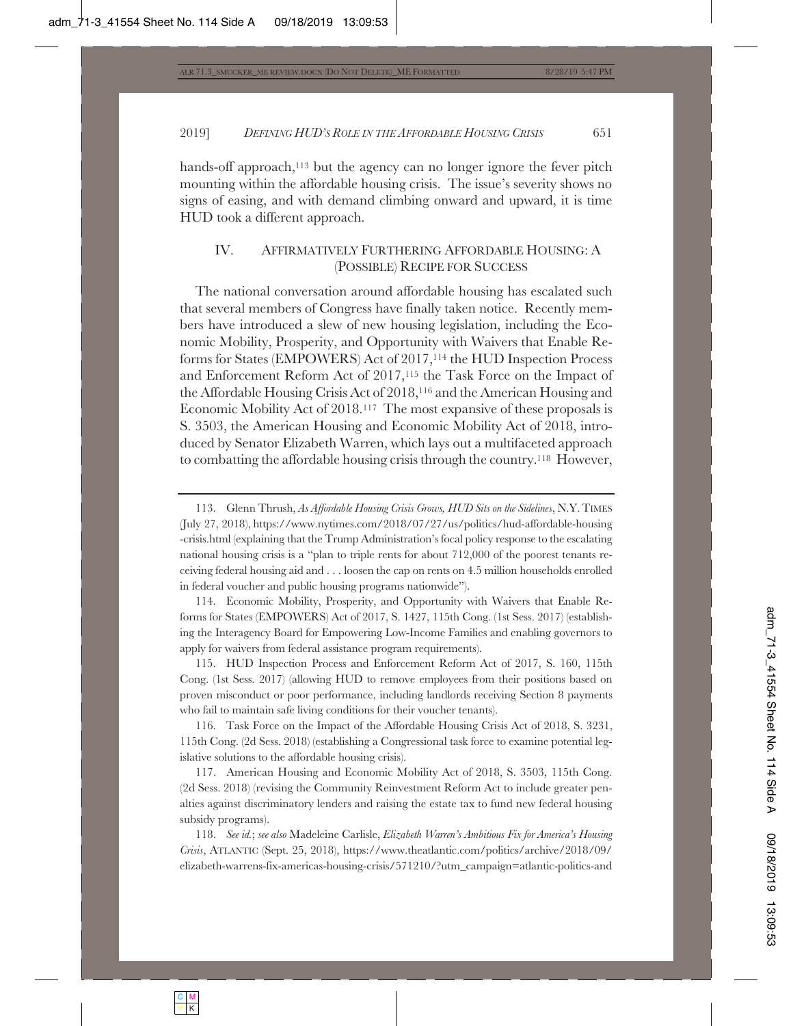hands-off approach,<sup>113</sup> but the agency can no longer ignore the fever pitch mounting within the affordable housing crisis. The issue's severity shows no signs of easing, and with demand climbing onward and upward, it is time HUD took a different approach.

# IV. AFFIRMATIVELY FURTHERING AFFORDABLE HOUSING: A (POSSIBLE) RECIPE FOR SUCCESS

The national conversation around affordable housing has escalated such that several members of Congress have finally taken notice. Recently members have introduced a slew of new housing legislation, including the Economic Mobility, Prosperity, and Opportunity with Waivers that Enable Reforms for States (EMPOWERS) Act of 2017,114 the HUD Inspection Process and Enforcement Reform Act of 2017,115 the Task Force on the Impact of the Affordable Housing Crisis Act of 2018,116 and the American Housing and Economic Mobility Act of 2018.117 The most expansive of these proposals is S. 3503, the American Housing and Economic Mobility Act of 2018, introduced by Senator Elizabeth Warren, which lays out a multifaceted approach to combatting the affordable housing crisis through the country.118 However,

114. Economic Mobility, Prosperity, and Opportunity with Waivers that Enable Reforms for States (EMPOWERS) Act of 2017, S. 1427, 115th Cong. (1st Sess. 2017) (establishing the Interagency Board for Empowering Low-Income Families and enabling governors to apply for waivers from federal assistance program requirements).

115. HUD Inspection Process and Enforcement Reform Act of 2017, S. 160, 115th Cong. (1st Sess. 2017) (allowing HUD to remove employees from their positions based on proven misconduct or poor performance, including landlords receiving Section 8 payments who fail to maintain safe living conditions for their voucher tenants).

116. Task Force on the Impact of the Affordable Housing Crisis Act of 2018, S. 3231, 115th Cong. (2d Sess. 2018) (establishing a Congressional task force to examine potential legislative solutions to the affordable housing crisis).

117. American Housing and Economic Mobility Act of 2018, S. 3503, 115th Cong. (2d Sess. 2018) (revising the Community Reinvestment Reform Act to include greater penalties against discriminatory lenders and raising the estate tax to fund new federal housing subsidy programs).

118. *See id.*; *see also* Madeleine Carlisle, *Elizabeth Warren's Ambitious Fix for America's Housing Crisis*, ATLANTIC (Sept. 25, 2018), https://www.theatlantic.com/politics/archive/2018/09/ elizabeth-warrens-fix-americas-housing-crisis/571210/?utm\_campaign=atlantic-politics-and

<sup>113.</sup> Glenn Thrush, *As Affordable Housing Crisis Grows, HUD Sits on the Sidelines*, N.Y. TIMES (July 27, 2018), https://www.nytimes.com/2018/07/27/us/politics/hud-affordable-housing -crisis.html (explaining that the Trump Administration's focal policy response to the escalating national housing crisis is a "plan to triple rents for about 712,000 of the poorest tenants receiving federal housing aid and . . . loosen the cap on rents on 4.5 million households enrolled in federal voucher and public housing programs nationwide").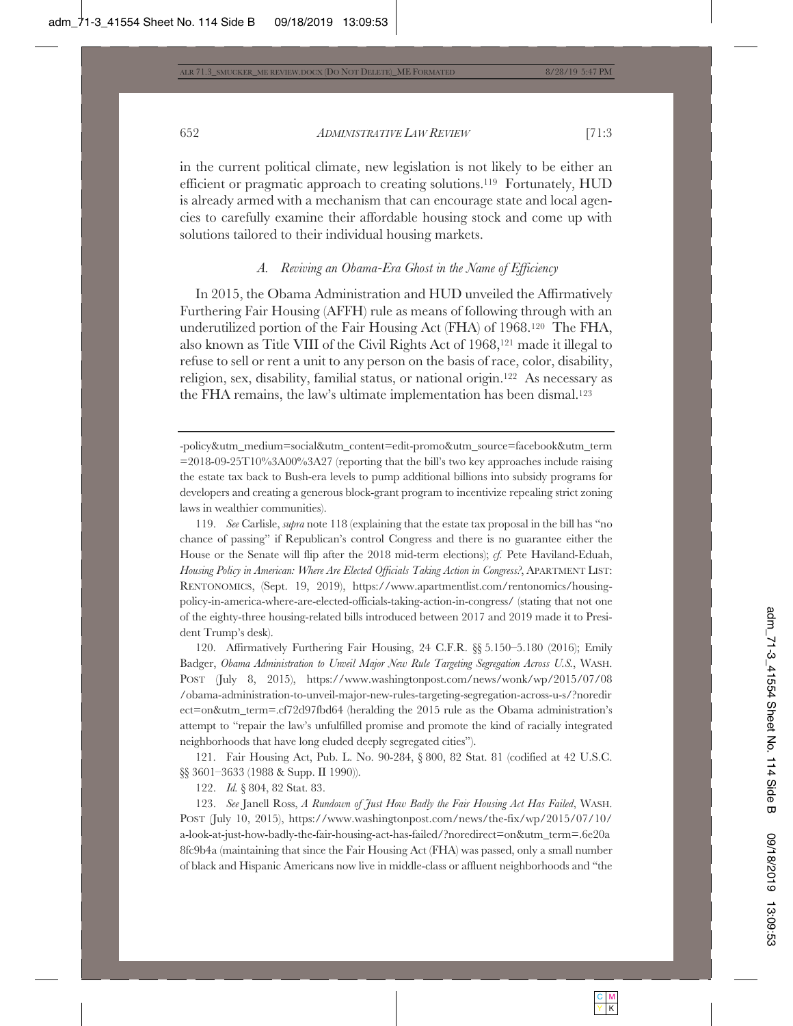in the current political climate, new legislation is not likely to be either an efficient or pragmatic approach to creating solutions.119 Fortunately, HUD is already armed with a mechanism that can encourage state and local agencies to carefully examine their affordable housing stock and come up with solutions tailored to their individual housing markets.

## *A. Reviving an Obama-Era Ghost in the Name of Efficiency*

In 2015, the Obama Administration and HUD unveiled the Affirmatively Furthering Fair Housing (AFFH) rule as means of following through with an underutilized portion of the Fair Housing Act (FHA) of 1968.120 The FHA, also known as Title VIII of the Civil Rights Act of 1968,121 made it illegal to refuse to sell or rent a unit to any person on the basis of race, color, disability, religion, sex, disability, familial status, or national origin.122 As necessary as the FHA remains, the law's ultimate implementation has been dismal.123

119. *See* Carlisle, *supra* note 118 (explaining that the estate tax proposal in the bill has "no chance of passing" if Republican's control Congress and there is no guarantee either the House or the Senate will flip after the 2018 mid-term elections); *cf.* Pete Haviland-Eduah, *Housing Policy in American: Where Are Elected Officials Taking Action in Congress?*, APARTMENT LIST: RENTONOMICS, (Sept. 19, 2019), https://www.apartmentlist.com/rentonomics/housingpolicy-in-america-where-are-elected-officials-taking-action-in-congress/ (stating that not one of the eighty-three housing-related bills introduced between 2017 and 2019 made it to President Trump's desk).

120. Affirmatively Furthering Fair Housing, 24 C.F.R. §§ 5.150–5.180 (2016); Emily Badger, *Obama Administration to Unveil Major New Rule Targeting Segregation Across U.S.*, WASH. POST (July 8, 2015), https://www.washingtonpost.com/news/wonk/wp/2015/07/08 /obama-administration-to-unveil-major-new-rules-targeting-segregation-across-u-s/?noredir ect=on&utm\_term=.cf72d97fbd64 (heralding the 2015 rule as the Obama administration's attempt to "repair the law's unfulfilled promise and promote the kind of racially integrated neighborhoods that have long eluded deeply segregated cities").

121. Fair Housing Act, Pub. L. No. 90-284, § 800, 82 Stat. 81 (codified at 42 U.S.C. §§ 3601–3633 (1988 & Supp. II 1990)).

122. *Id.* § 804, 82 Stat. 83.

123. *See* Janell Ross, *A Rundown of Just How Badly the Fair Housing Act Has Failed*, WASH. POST (July 10, 2015), https://www.washingtonpost.com/news/the-fix/wp/2015/07/10/ a-look-at-just-how-badly-the-fair-housing-act-has-failed/?noredirect=on&utm\_term=.6e20a 8fc9b4a (maintaining that since the Fair Housing Act (FHA) was passed, only a small number of black and Hispanic Americans now live in middle-class or affluent neighborhoods and "the

<sup>-</sup>policy&utm\_medium=social&utm\_content=edit-promo&utm\_source=facebook&utm\_term  $=2018-09-25T10\%3A00\%3A27$  (reporting that the bill's two key approaches include raising the estate tax back to Bush-era levels to pump additional billions into subsidy programs for developers and creating a generous block-grant program to incentivize repealing strict zoning laws in wealthier communities).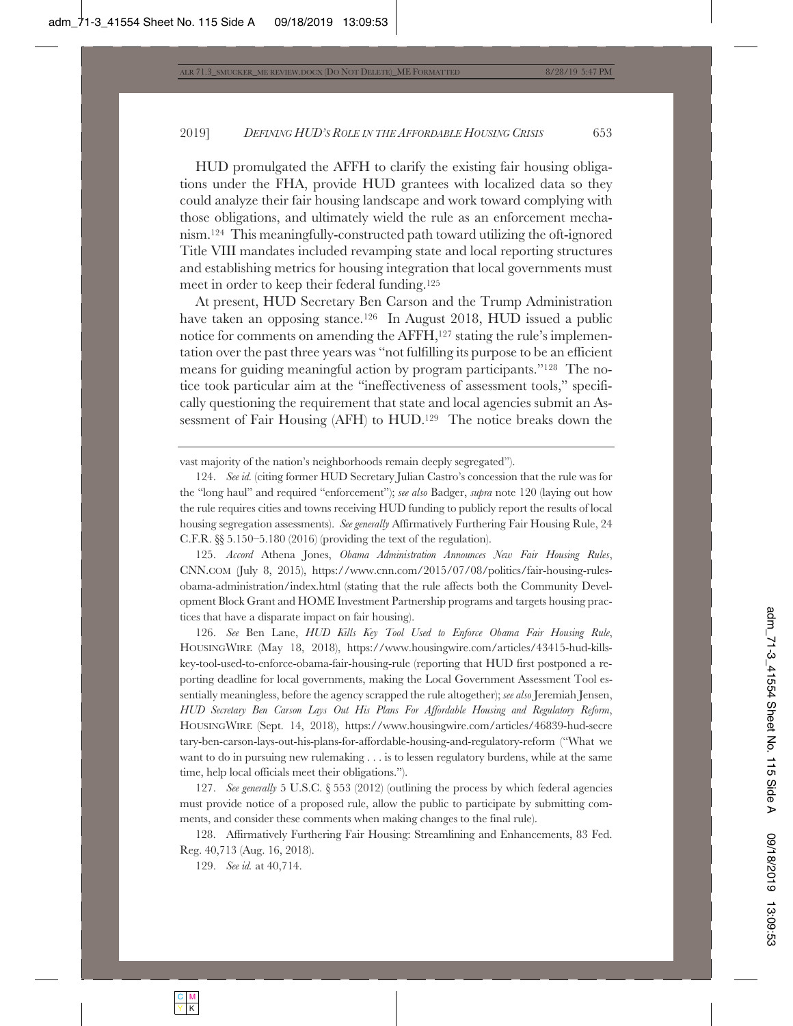HUD promulgated the AFFH to clarify the existing fair housing obligations under the FHA, provide HUD grantees with localized data so they could analyze their fair housing landscape and work toward complying with those obligations, and ultimately wield the rule as an enforcement mechanism.124 This meaningfully-constructed path toward utilizing the oft-ignored Title VIII mandates included revamping state and local reporting structures and establishing metrics for housing integration that local governments must meet in order to keep their federal funding.125

At present, HUD Secretary Ben Carson and the Trump Administration have taken an opposing stance.126 In August 2018, HUD issued a public notice for comments on amending the AFFH,<sup>127</sup> stating the rule's implementation over the past three years was "not fulfilling its purpose to be an efficient means for guiding meaningful action by program participants."128 The notice took particular aim at the "ineffectiveness of assessment tools," specifically questioning the requirement that state and local agencies submit an Assessment of Fair Housing (AFH) to HUD.129 The notice breaks down the

vast majority of the nation's neighborhoods remain deeply segregated").

125. *Accord* Athena Jones, *Obama Administration Announces New Fair Housing Rules*, CNN.COM (July 8, 2015), https://www.cnn.com/2015/07/08/politics/fair-housing-rulesobama-administration/index.html (stating that the rule affects both the Community Development Block Grant and HOME Investment Partnership programs and targets housing practices that have a disparate impact on fair housing).

126. *See* Ben Lane, *HUD Kills Key Tool Used to Enforce Obama Fair Housing Rule*, HOUSINGWIRE (May 18, 2018), https://www.housingwire.com/articles/43415-hud-killskey-tool-used-to-enforce-obama-fair-housing-rule (reporting that HUD first postponed a reporting deadline for local governments, making the Local Government Assessment Tool essentially meaningless, before the agency scrapped the rule altogether); *see also* Jeremiah Jensen, *HUD Secretary Ben Carson Lays Out His Plans For Affordable Housing and Regulatory Reform*, HOUSINGWIRE (Sept. 14, 2018), https://www.housingwire.com/articles/46839-hud-secre tary-ben-carson-lays-out-his-plans-for-affordable-housing-and-regulatory-reform ("What we want to do in pursuing new rulemaking . . . is to lessen regulatory burdens, while at the same time, help local officials meet their obligations.").

127. *See generally* 5 U.S.C. § 553 (2012) (outlining the process by which federal agencies must provide notice of a proposed rule, allow the public to participate by submitting comments, and consider these comments when making changes to the final rule).

128. Affirmatively Furthering Fair Housing: Streamlining and Enhancements, 83 Fed. Reg. 40,713 (Aug. 16, 2018).

129. *See id.* at 40,714.

<sup>124.</sup> *See id.* (citing former HUD Secretary Julian Castro's concession that the rule was for the "long haul" and required "enforcement"); *see also* Badger, *supra* note 120 (laying out how the rule requires cities and towns receiving HUD funding to publicly report the results of local housing segregation assessments). *See generally* Affirmatively Furthering Fair Housing Rule, 24 C.F.R. §§ 5.150–5.180 (2016) (providing the text of the regulation).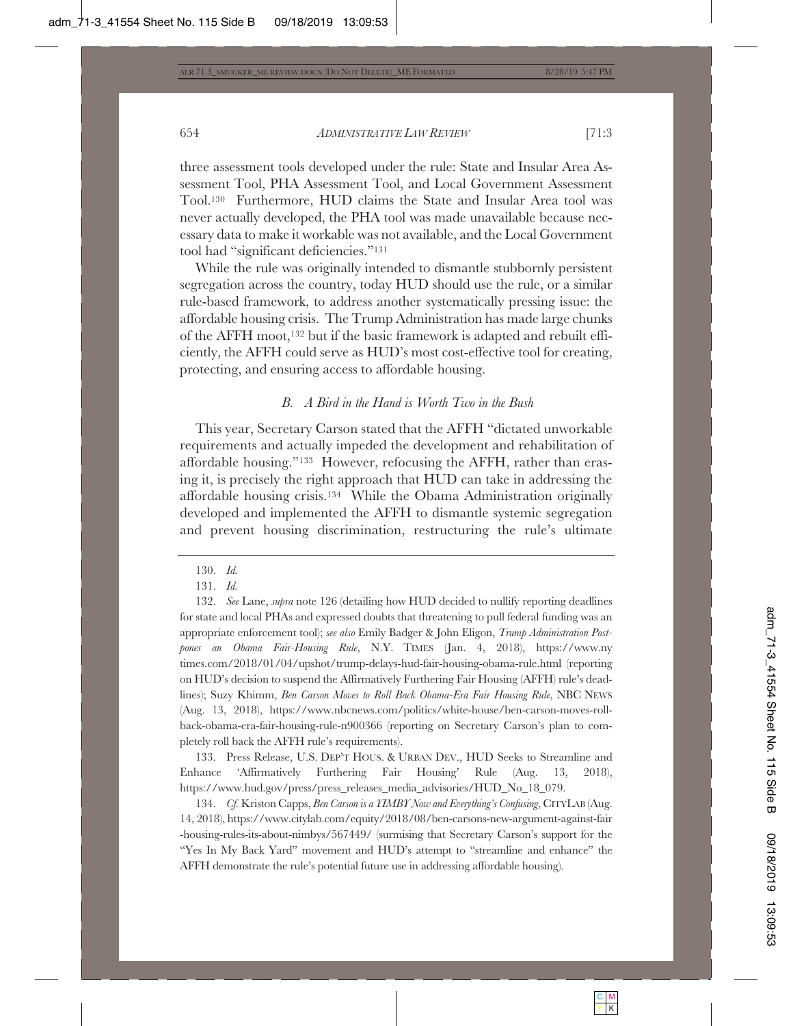three assessment tools developed under the rule: State and Insular Area Assessment Tool, PHA Assessment Tool, and Local Government Assessment Tool.130 Furthermore, HUD claims the State and Insular Area tool was never actually developed, the PHA tool was made unavailable because necessary data to make it workable was not available, and the Local Government tool had "significant deficiencies."131

While the rule was originally intended to dismantle stubbornly persistent segregation across the country, today HUD should use the rule, or a similar rule-based framework, to address another systematically pressing issue: the affordable housing crisis. The Trump Administration has made large chunks of the AFFH moot,132 but if the basic framework is adapted and rebuilt efficiently, the AFFH could serve as HUD's most cost-effective tool for creating, protecting, and ensuring access to affordable housing.

#### *B. A Bird in the Hand is Worth Two in the Bush*

This year, Secretary Carson stated that the AFFH "dictated unworkable requirements and actually impeded the development and rehabilitation of affordable housing."133 However, refocusing the AFFH, rather than erasing it, is precisely the right approach that HUD can take in addressing the affordable housing crisis.134 While the Obama Administration originally developed and implemented the AFFH to dismantle systemic segregation and prevent housing discrimination, restructuring the rule's ultimate

133. Press Release, U.S. DEP'T HOUS.&URBAN DEV., HUD Seeks to Streamline and Enhance 'Affirmatively Furthering Fair Housing' Rule (Aug. 13, 2018), https://www.hud.gov/press/press\_releases\_media\_advisories/HUD\_No\_18\_079.

134. *Cf.* Kriston Capps, *Ben Carson is a YIMBY Now and Everything's Confusing*, CITYLAB (Aug. 14, 2018), https://www.citylab.com/equity/2018/08/ben-carsons-new-argument-against-fair -housing-rules-its-about-nimbys/567449/ (surmising that Secretary Carson's support for the "Yes In My Back Yard" movement and HUD's attempt to "streamline and enhance" the AFFH demonstrate the rule's potential future use in addressing affordable housing).

<sup>130.</sup> *Id.*

<sup>131.</sup> *Id.*

<sup>132.</sup> *See* Lane, *supra* note 126 (detailing how HUD decided to nullify reporting deadlines for state and local PHAs and expressed doubts that threatening to pull federal funding was an appropriate enforcement tool); *see also* Emily Badger & John Eligon, *Trump Administration Postpones an Obama Fair-Housing Rule*, N.Y. TIMES (Jan. 4, 2018), https://www.ny times.com/2018/01/04/upshot/trump-delays-hud-fair-housing-obama-rule.html (reporting on HUD's decision to suspend the Affirmatively Furthering Fair Housing (AFFH) rule's deadlines); Suzy Khimm, *Ben Carson Moves to Roll Back Obama-Era Fair Housing Rule*, NBC NEWS (Aug. 13, 2018), https://www.nbcnews.com/politics/white-house/ben-carson-moves-rollback-obama-era-fair-housing-rule-n900366 (reporting on Secretary Carson's plan to completely roll back the AFFH rule's requirements).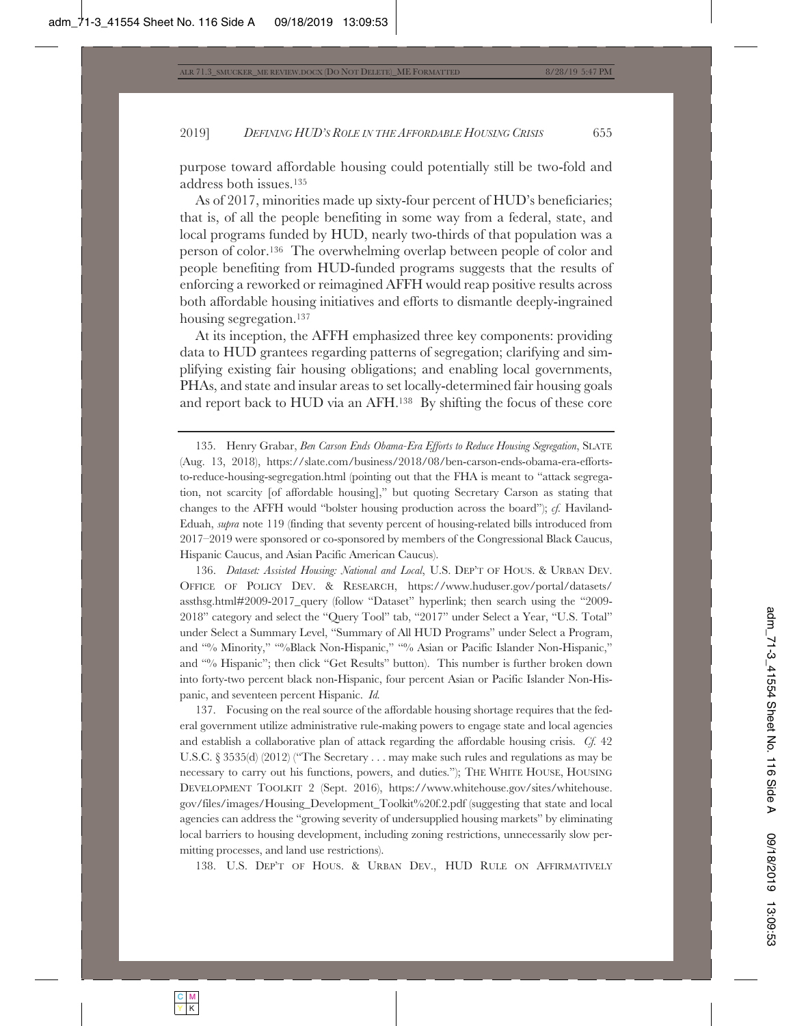purpose toward affordable housing could potentially still be two-fold and address both issues.135

As of 2017, minorities made up sixty-four percent of HUD's beneficiaries; that is, of all the people benefiting in some way from a federal, state, and local programs funded by HUD, nearly two-thirds of that population was a person of color.136 The overwhelming overlap between people of color and people benefiting from HUD-funded programs suggests that the results of enforcing a reworked or reimagined AFFH would reap positive results across both affordable housing initiatives and efforts to dismantle deeply-ingrained housing segregation.137

At its inception, the AFFH emphasized three key components: providing data to HUD grantees regarding patterns of segregation; clarifying and simplifying existing fair housing obligations; and enabling local governments, PHAs, and state and insular areas to set locally-determined fair housing goals and report back to HUD via an AFH.138 By shifting the focus of these core

136. *Dataset: Assisted Housing: National and Local*, U.S. DEP'T OF HOUS.&URBAN DEV. OFFICE OF POLICY DEV.&RESEARCH, https://www.huduser.gov/portal/datasets/ assthsg.html#2009-2017\_query (follow "Dataset" hyperlink; then search using the "2009- 2018" category and select the "Query Tool" tab, "2017" under Select a Year, "U.S. Total" under Select a Summary Level, "Summary of All HUD Programs" under Select a Program, and "% Minority," "%Black Non-Hispanic," "% Asian or Pacific Islander Non-Hispanic," and "% Hispanic"; then click "Get Results" button). This number is further broken down into forty-two percent black non-Hispanic, four percent Asian or Pacific Islander Non-Hispanic, and seventeen percent Hispanic. *Id.*

137. Focusing on the real source of the affordable housing shortage requires that the federal government utilize administrative rule-making powers to engage state and local agencies and establish a collaborative plan of attack regarding the affordable housing crisis. *Cf.* 42 U.S.C. § 3535(d) (2012) ("The Secretary . . . may make such rules and regulations as may be necessary to carry out his functions, powers, and duties."); THE WHITE HOUSE, HOUSING DEVELOPMENT TOOLKIT 2 (Sept. 2016), https://www.whitehouse.gov/sites/whitehouse. gov/files/images/Housing\_Development\_Toolkit%20f.2.pdf (suggesting that state and local agencies can address the "growing severity of undersupplied housing markets" by eliminating local barriers to housing development, including zoning restrictions, unnecessarily slow permitting processes, and land use restrictions).

138. U.S. DEP'T OF HOUS. & URBAN DEV., HUD RULE ON AFFIRMATIVELY

<sup>135.</sup> Henry Grabar, *Ben Carson Ends Obama-Era Efforts to Reduce Housing Segregation*, SLATE (Aug. 13, 2018), https://slate.com/business/2018/08/ben-carson-ends-obama-era-effortsto-reduce-housing-segregation.html (pointing out that the FHA is meant to "attack segregation, not scarcity [of affordable housing]," but quoting Secretary Carson as stating that changes to the AFFH would "bolster housing production across the board"); *cf.* Haviland-Eduah, *supra* note 119 (finding that seventy percent of housing-related bills introduced from 2017–2019 were sponsored or co-sponsored by members of the Congressional Black Caucus, Hispanic Caucus, and Asian Pacific American Caucus).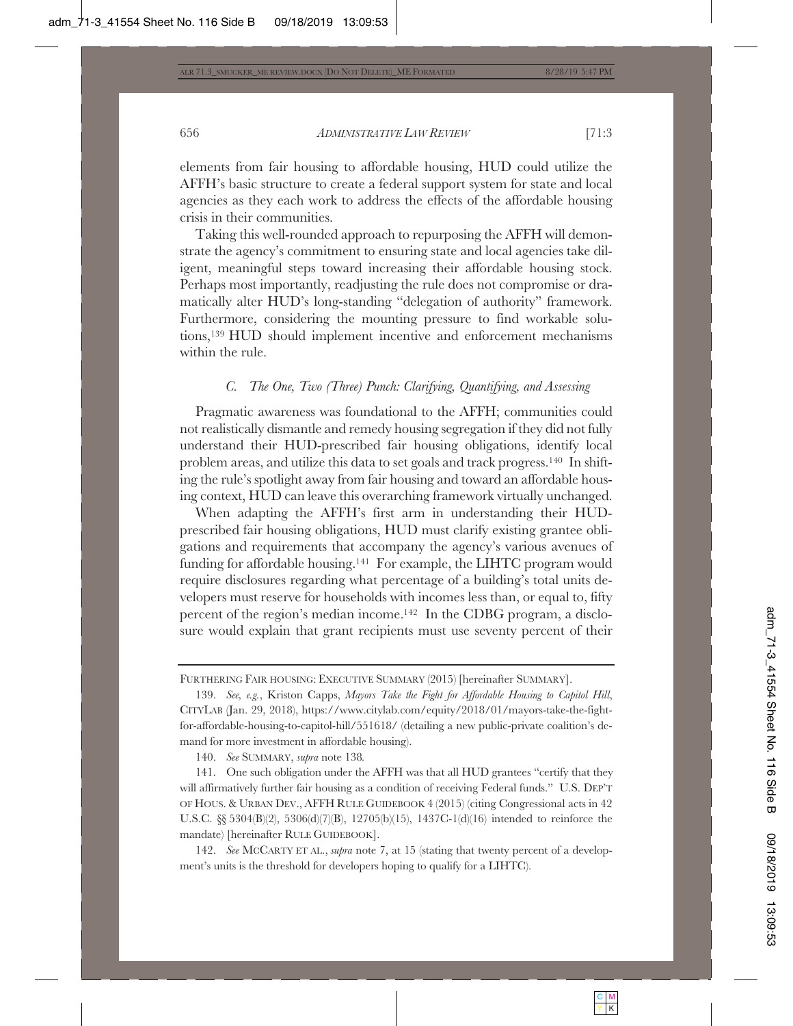elements from fair housing to affordable housing, HUD could utilize the AFFH's basic structure to create a federal support system for state and local agencies as they each work to address the effects of the affordable housing crisis in their communities.

Taking this well-rounded approach to repurposing the AFFH will demonstrate the agency's commitment to ensuring state and local agencies take diligent, meaningful steps toward increasing their affordable housing stock. Perhaps most importantly, readjusting the rule does not compromise or dramatically alter HUD's long-standing "delegation of authority" framework. Furthermore, considering the mounting pressure to find workable solutions,<sup>139</sup> HUD should implement incentive and enforcement mechanisms within the rule.

#### *C. The One, Two (Three) Punch: Clarifying, Quantifying, and Assessing*

Pragmatic awareness was foundational to the AFFH; communities could not realistically dismantle and remedy housing segregation if they did not fully understand their HUD-prescribed fair housing obligations, identify local problem areas, and utilize this data to set goals and track progress.140 In shifting the rule's spotlight away from fair housing and toward an affordable housing context, HUD can leave this overarching framework virtually unchanged.

When adapting the AFFH's first arm in understanding their HUDprescribed fair housing obligations, HUD must clarify existing grantee obligations and requirements that accompany the agency's various avenues of funding for affordable housing.141 For example, the LIHTC program would require disclosures regarding what percentage of a building's total units developers must reserve for households with incomes less than, or equal to, fifty percent of the region's median income.142 In the CDBG program, a disclosure would explain that grant recipients must use seventy percent of their

140. *See* SUMMARY, *supra* note 138*.*

142. *See* MCCARTY ET AL., *supra* note 7, at 15 (stating that twenty percent of a development's units is the threshold for developers hoping to qualify for a LIHTC).

FURTHERING FAIR HOUSING: EXECUTIVE SUMMARY (2015) [hereinafter SUMMARY].

<sup>139.</sup> *See, e.g.*, Kriston Capps, *Mayors Take the Fight for Affordable Housing to Capitol Hill*, CITYLAB (Jan. 29, 2018), https://www.citylab.com/equity/2018/01/mayors-take-the-fightfor-affordable-housing-to-capitol-hill/551618/ (detailing a new public-private coalition's demand for more investment in affordable housing).

<sup>141.</sup> One such obligation under the AFFH was that all HUD grantees "certify that they will affirmatively further fair housing as a condition of receiving Federal funds." U.S. DEP'T OF HOUS.&URBAN DEV., AFFH RULE GUIDEBOOK 4 (2015) (citing Congressional acts in 42 U.S.C. §§ 5304(B)(2), 5306(d)(7)(B), 12705(b)(15), 1437C-1(d)(16) intended to reinforce the mandate) [hereinafter RULE GUIDEBOOK].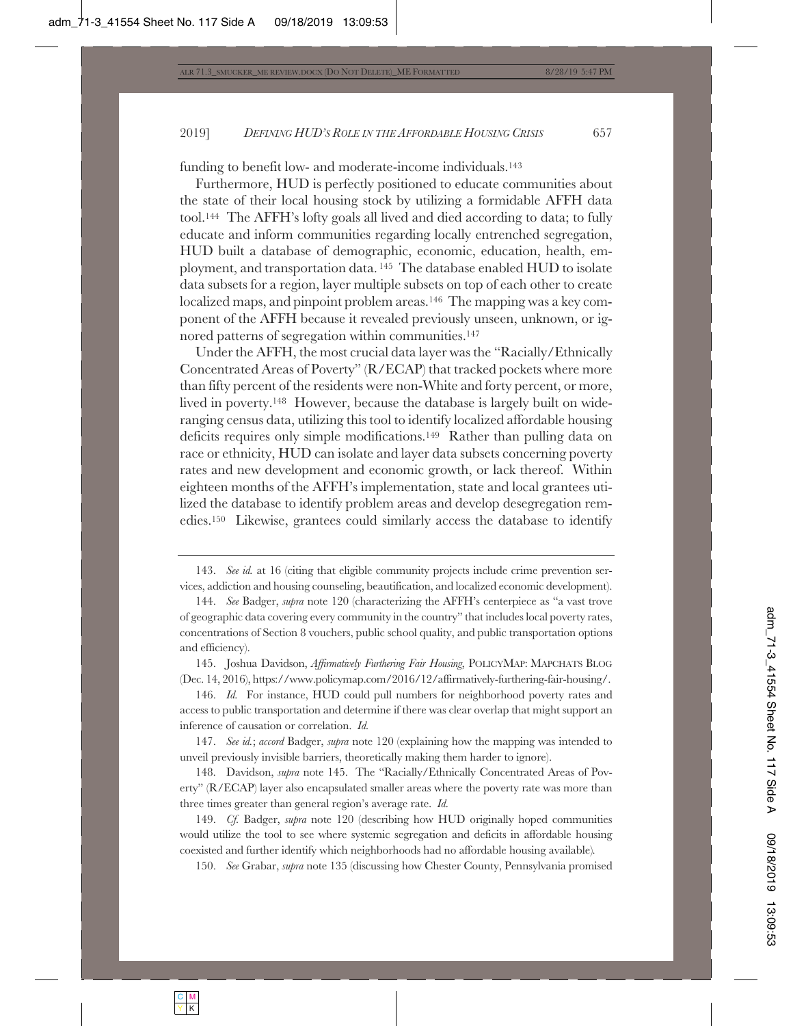funding to benefit low- and moderate-income individuals.<sup>143</sup>

Furthermore, HUD is perfectly positioned to educate communities about the state of their local housing stock by utilizing a formidable AFFH data tool.144 The AFFH's lofty goals all lived and died according to data; to fully educate and inform communities regarding locally entrenched segregation, HUD built a database of demographic, economic, education, health, employment, and transportation data. 145 The database enabled HUD to isolate data subsets for a region, layer multiple subsets on top of each other to create localized maps, and pinpoint problem areas.<sup>146</sup> The mapping was a key component of the AFFH because it revealed previously unseen, unknown, or ignored patterns of segregation within communities.147

Under the AFFH, the most crucial data layer was the "Racially/Ethnically Concentrated Areas of Poverty" (R/ECAP) that tracked pockets where more than fifty percent of the residents were non-White and forty percent, or more, lived in poverty.<sup>148</sup> However, because the database is largely built on wideranging census data, utilizing this tool to identify localized affordable housing deficits requires only simple modifications.149 Rather than pulling data on race or ethnicity, HUD can isolate and layer data subsets concerning poverty rates and new development and economic growth, or lack thereof. Within eighteen months of the AFFH's implementation, state and local grantees utilized the database to identify problem areas and develop desegregation remedies.150 Likewise, grantees could similarly access the database to identify

145. Joshua Davidson, *Affirmatively Furthering Fair Housing*, POLICYMAP: MAPCHATS BLOG (Dec. 14, 2016), https://www.policymap.com/2016/12/affirmatively-furthering-fair-housing/.

146. *Id.* For instance, HUD could pull numbers for neighborhood poverty rates and access to public transportation and determine if there was clear overlap that might support an inference of causation or correlation. *Id.*

147. *See id.*; *accord* Badger, *supra* note 120 (explaining how the mapping was intended to unveil previously invisible barriers, theoretically making them harder to ignore).

148. Davidson, *supra* note 145. The "Racially/Ethnically Concentrated Areas of Poverty" (R/ECAP) layer also encapsulated smaller areas where the poverty rate was more than three times greater than general region's average rate. *Id.*

149. *Cf.* Badger, *supra* note 120 (describing how HUD originally hoped communities would utilize the tool to see where systemic segregation and deficits in affordable housing coexisted and further identify which neighborhoods had no affordable housing available)*.*

150. *See* Grabar, *supra* note 135 (discussing how Chester County, Pennsylvania promised

<sup>143.</sup> *See id.* at 16 (citing that eligible community projects include crime prevention services, addiction and housing counseling, beautification, and localized economic development).

<sup>144.</sup> *See* Badger, *supra* note 120 (characterizing the AFFH's centerpiece as "a vast trove of geographic data covering every community in the country" that includes local poverty rates, concentrations of Section 8 vouchers, public school quality, and public transportation options and efficiency).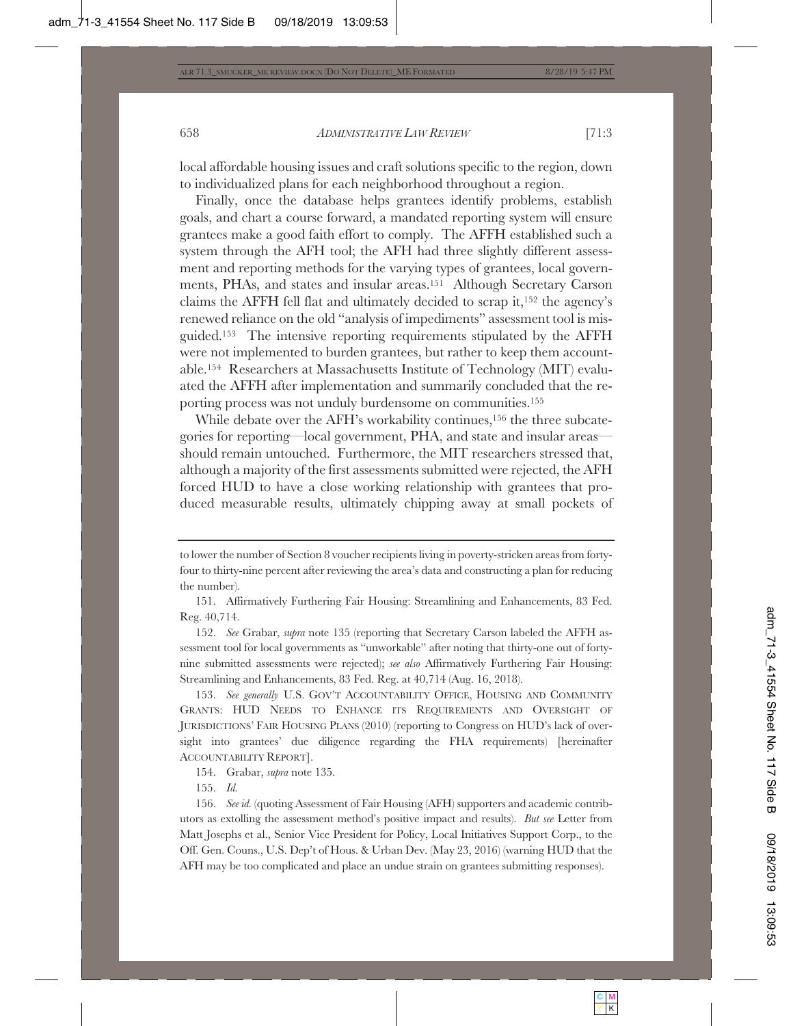local affordable housing issues and craft solutions specific to the region, down to individualized plans for each neighborhood throughout a region.

Finally, once the database helps grantees identify problems, establish goals, and chart a course forward, a mandated reporting system will ensure grantees make a good faith effort to comply. The AFFH established such a system through the AFH tool; the AFH had three slightly different assessment and reporting methods for the varying types of grantees, local governments, PHAs, and states and insular areas.151 Although Secretary Carson claims the AFFH fell flat and ultimately decided to scrap it,152 the agency's renewed reliance on the old "analysis of impediments" assessment tool is misguided.153 The intensive reporting requirements stipulated by the AFFH were not implemented to burden grantees, but rather to keep them accountable.154 Researchers at Massachusetts Institute of Technology (MIT) evaluated the AFFH after implementation and summarily concluded that the reporting process was not unduly burdensome on communities.155

While debate over the AFH's workability continues,<sup>156</sup> the three subcategories for reporting—local government, PHA, and state and insular areas should remain untouched. Furthermore, the MIT researchers stressed that, although a majority of the first assessments submitted were rejected, the AFH forced HUD to have a close working relationship with grantees that produced measurable results, ultimately chipping away at small pockets of

152. *See* Grabar, *supra* note 135 (reporting that Secretary Carson labeled the AFFH assessment tool for local governments as "unworkable" after noting that thirty-one out of fortynine submitted assessments were rejected); *see also* Affirmatively Furthering Fair Housing: Streamlining and Enhancements, 83 Fed. Reg. at 40,714 (Aug. 16, 2018).

153. *See generally* U.S. GOV'T ACCOUNTABILITY OFFICE, HOUSING AND COMMUNITY GRANTS: HUD NEEDS TO ENHANCE ITS REQUIREMENTS AND OVERSIGHT OF JURISDICTIONS' FAIR HOUSING PLANS (2010) (reporting to Congress on HUD's lack of oversight into grantees' due diligence regarding the FHA requirements) [hereinafter ACCOUNTABILITY REPORT].

154. Grabar, *supra* note 135.

155. *Id.*

156. *See id.* (quoting Assessment of Fair Housing (AFH) supporters and academic contributors as extolling the assessment method's positive impact and results). *But see* Letter from Matt Josephs et al., Senior Vice President for Policy, Local Initiatives Support Corp., to the Off. Gen. Couns., U.S. Dep't of Hous. & Urban Dev. (May 23, 2016) (warning HUD that the AFH may be too complicated and place an undue strain on grantees submitting responses).

to lower the number of Section 8 voucher recipients living in poverty-stricken areas from fortyfour to thirty-nine percent after reviewing the area's data and constructing a plan for reducing the number).

<sup>151.</sup> Affirmatively Furthering Fair Housing: Streamlining and Enhancements, 83 Fed. Reg. 40,714.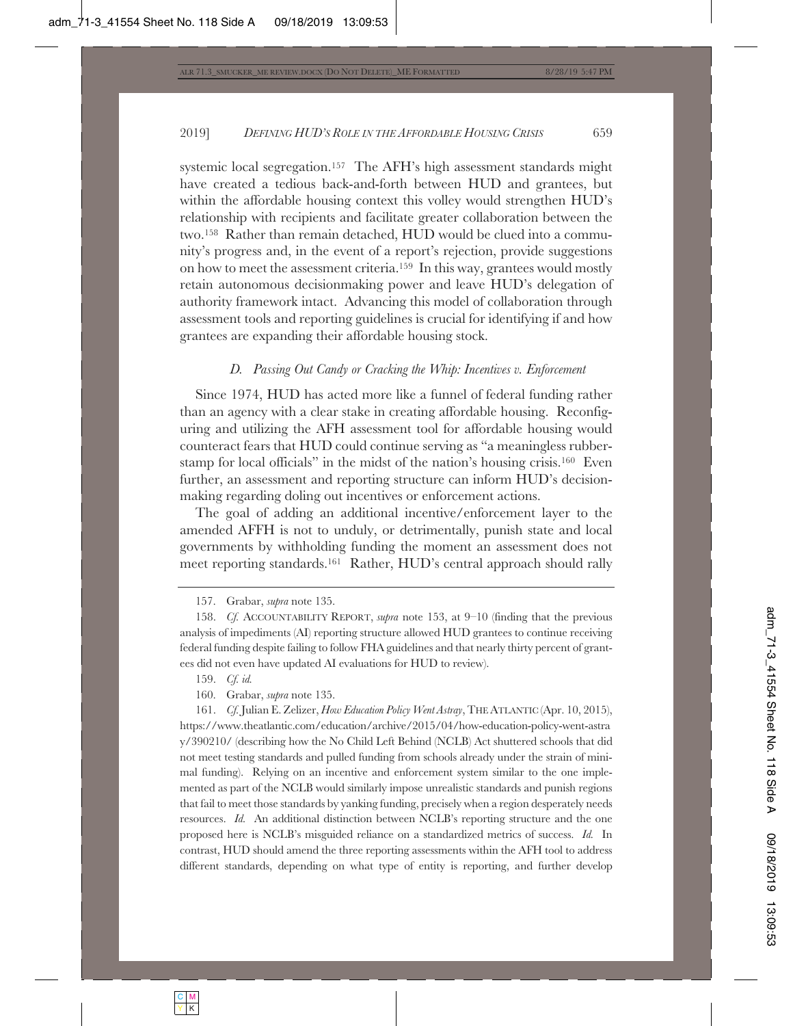systemic local segregation.157 The AFH's high assessment standards might have created a tedious back-and-forth between HUD and grantees, but within the affordable housing context this volley would strengthen HUD's relationship with recipients and facilitate greater collaboration between the two.158 Rather than remain detached, HUD would be clued into a community's progress and, in the event of a report's rejection, provide suggestions on how to meet the assessment criteria.159 In this way, grantees would mostly retain autonomous decisionmaking power and leave HUD's delegation of authority framework intact. Advancing this model of collaboration through assessment tools and reporting guidelines is crucial for identifying if and how grantees are expanding their affordable housing stock.

#### *D. Passing Out Candy or Cracking the Whip: Incentives v. Enforcement*

Since 1974, HUD has acted more like a funnel of federal funding rather than an agency with a clear stake in creating affordable housing. Reconfiguring and utilizing the AFH assessment tool for affordable housing would counteract fears that HUD could continue serving as "a meaningless rubberstamp for local officials" in the midst of the nation's housing crisis.160 Even further, an assessment and reporting structure can inform HUD's decisionmaking regarding doling out incentives or enforcement actions.

The goal of adding an additional incentive/enforcement layer to the amended AFFH is not to unduly, or detrimentally, punish state and local governments by withholding funding the moment an assessment does not meet reporting standards.161 Rather, HUD's central approach should rally

157. Grabar, *supra* note 135.

- 159. *Cf. id.*
- 160. Grabar, *supra* note 135.

161. *Cf.* Julian E. Zelizer, *How Education Policy Went Astray*, THEATLANTIC (Apr. 10, 2015), https://www.theatlantic.com/education/archive/2015/04/how-education-policy-went-astra y/390210/ (describing how the No Child Left Behind (NCLB) Act shuttered schools that did not meet testing standards and pulled funding from schools already under the strain of minimal funding). Relying on an incentive and enforcement system similar to the one implemented as part of the NCLB would similarly impose unrealistic standards and punish regions that fail to meet those standards by yanking funding, precisely when a region desperately needs resources. *Id.* An additional distinction between NCLB's reporting structure and the one proposed here is NCLB's misguided reliance on a standardized metrics of success. *Id.* In contrast, HUD should amend the three reporting assessments within the AFH tool to address different standards, depending on what type of entity is reporting, and further develop

<sup>158.</sup> *Cf.* ACCOUNTABILITY REPORT, *supra* note 153, at 9–10 (finding that the previous analysis of impediments (AI) reporting structure allowed HUD grantees to continue receiving federal funding despite failing to follow FHA guidelines and that nearly thirty percent of grantees did not even have updated AI evaluations for HUD to review).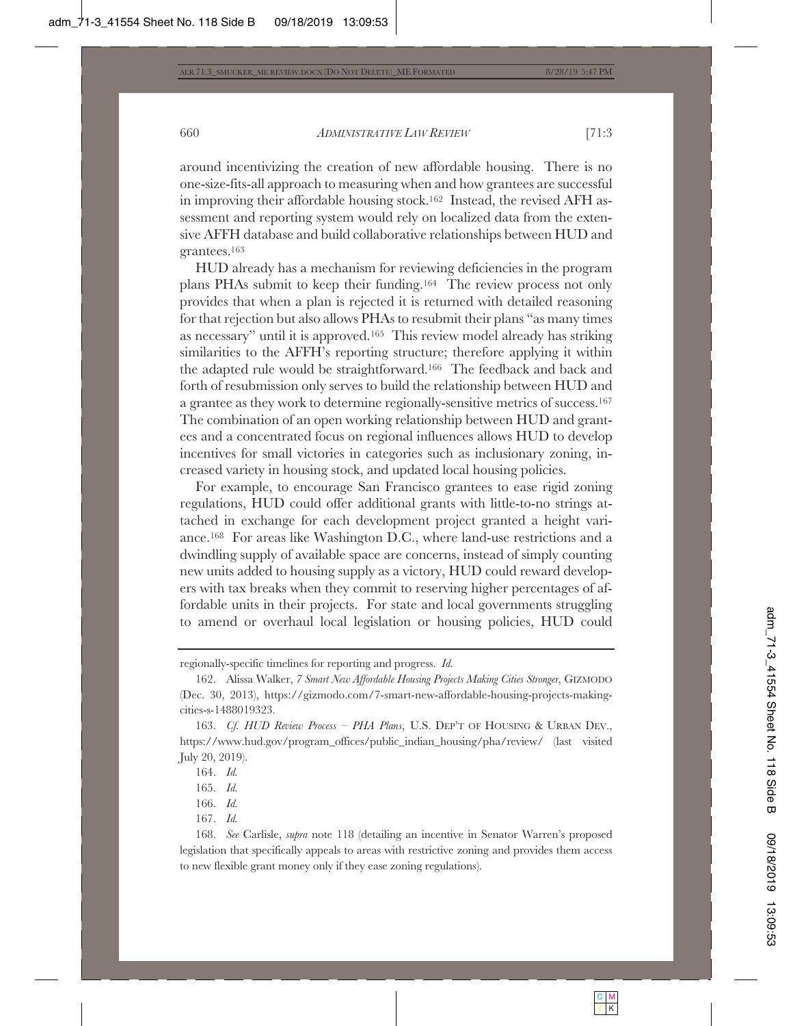around incentivizing the creation of new affordable housing. There is no one-size-fits-all approach to measuring when and how grantees are successful in improving their affordable housing stock.162 Instead, the revised AFH assessment and reporting system would rely on localized data from the extensive AFFH database and build collaborative relationships between HUD and grantees.163

HUD already has a mechanism for reviewing deficiencies in the program plans PHAs submit to keep their funding.164 The review process not only provides that when a plan is rejected it is returned with detailed reasoning for that rejection but also allows PHAs to resubmit their plans "as many times as necessary" until it is approved.165 This review model already has striking similarities to the AFFH's reporting structure; therefore applying it within the adapted rule would be straightforward.166 The feedback and back and forth of resubmission only serves to build the relationship between HUD and a grantee as they work to determine regionally-sensitive metrics of success.167 The combination of an open working relationship between HUD and grantees and a concentrated focus on regional influences allows HUD to develop incentives for small victories in categories such as inclusionary zoning, increased variety in housing stock, and updated local housing policies.

For example, to encourage San Francisco grantees to ease rigid zoning regulations, HUD could offer additional grants with little-to-no strings attached in exchange for each development project granted a height variance.168 For areas like Washington D.C., where land-use restrictions and a dwindling supply of available space are concerns, instead of simply counting new units added to housing supply as a victory, HUD could reward developers with tax breaks when they commit to reserving higher percentages of affordable units in their projects. For state and local governments struggling to amend or overhaul local legislation or housing policies, HUD could

167. *Id.*

regionally-specific timelines for reporting and progress. *Id.*

<sup>162.</sup> Alissa Walker, *7 Smart New Affordable Housing Projects Making Cities Stronger*, GIZMODO (Dec. 30, 2013), https://gizmodo.com/7-smart-new-affordable-housing-projects-makingcities-s-1488019323.

<sup>163.</sup> *Cf. HUD Review Process – PHA Plans*, U.S. DEP'T OF HOUSING & URBAN DEV., https://www.hud.gov/program\_offices/public\_indian\_housing/pha/review/ (last visited July 20, 2019).

<sup>164.</sup> *Id.*

<sup>165.</sup> *Id.*

<sup>166.</sup> *Id.*

<sup>168.</sup> *See* Carlisle, *supra* note 118 (detailing an incentive in Senator Warren's proposed legislation that specifically appeals to areas with restrictive zoning and provides them access to new flexible grant money only if they ease zoning regulations).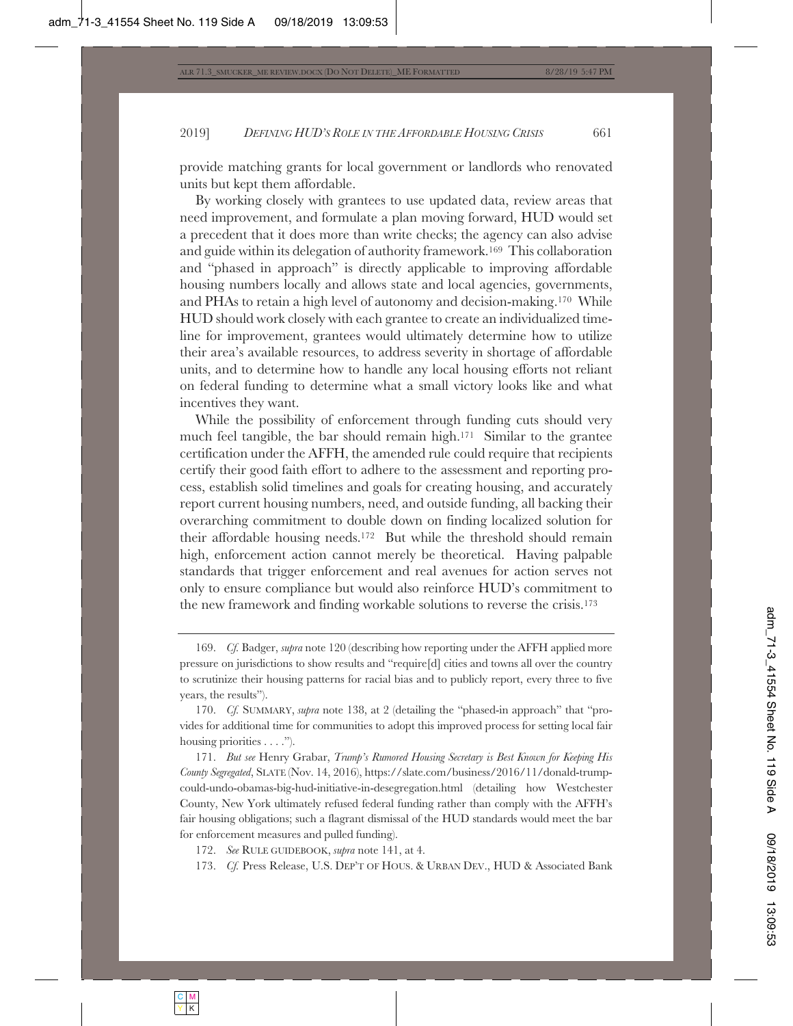provide matching grants for local government or landlords who renovated units but kept them affordable.

By working closely with grantees to use updated data, review areas that need improvement, and formulate a plan moving forward, HUD would set a precedent that it does more than write checks; the agency can also advise and guide within its delegation of authority framework.169 This collaboration and "phased in approach" is directly applicable to improving affordable housing numbers locally and allows state and local agencies, governments, and PHAs to retain a high level of autonomy and decision-making.170 While HUD should work closely with each grantee to create an individualized timeline for improvement, grantees would ultimately determine how to utilize their area's available resources, to address severity in shortage of affordable units, and to determine how to handle any local housing efforts not reliant on federal funding to determine what a small victory looks like and what incentives they want.

While the possibility of enforcement through funding cuts should very much feel tangible, the bar should remain high.<sup>171</sup> Similar to the grantee certification under the AFFH, the amended rule could require that recipients certify their good faith effort to adhere to the assessment and reporting process, establish solid timelines and goals for creating housing, and accurately report current housing numbers, need, and outside funding, all backing their overarching commitment to double down on finding localized solution for their affordable housing needs.172 But while the threshold should remain high, enforcement action cannot merely be theoretical. Having palpable standards that trigger enforcement and real avenues for action serves not only to ensure compliance but would also reinforce HUD's commitment to the new framework and finding workable solutions to reverse the crisis.173

<sup>169.</sup> *Cf.* Badger, *supra* note 120 (describing how reporting under the AFFH applied more pressure on jurisdictions to show results and "require[d] cities and towns all over the country to scrutinize their housing patterns for racial bias and to publicly report, every three to five years, the results").

<sup>170.</sup> *Cf.* SUMMARY, *supra* note 138, at 2 (detailing the "phased-in approach" that "provides for additional time for communities to adopt this improved process for setting local fair housing priorities  $\dots$ .").

<sup>171.</sup> *But see* Henry Grabar, *Trump's Rumored Housing Secretary is Best Known for Keeping His County Segregated*, SLATE (Nov. 14, 2016), https://slate.com/business/2016/11/donald-trumpcould-undo-obamas-big-hud-initiative-in-desegregation.html (detailing how Westchester County, New York ultimately refused federal funding rather than comply with the AFFH's fair housing obligations; such a flagrant dismissal of the HUD standards would meet the bar for enforcement measures and pulled funding).

<sup>172.</sup> *See* RULE GUIDEBOOK, *supra* note 141, at 4.

<sup>173.</sup> *Cf.* Press Release, U.S. DEP'T OF HOUS.&URBAN DEV., HUD & Associated Bank